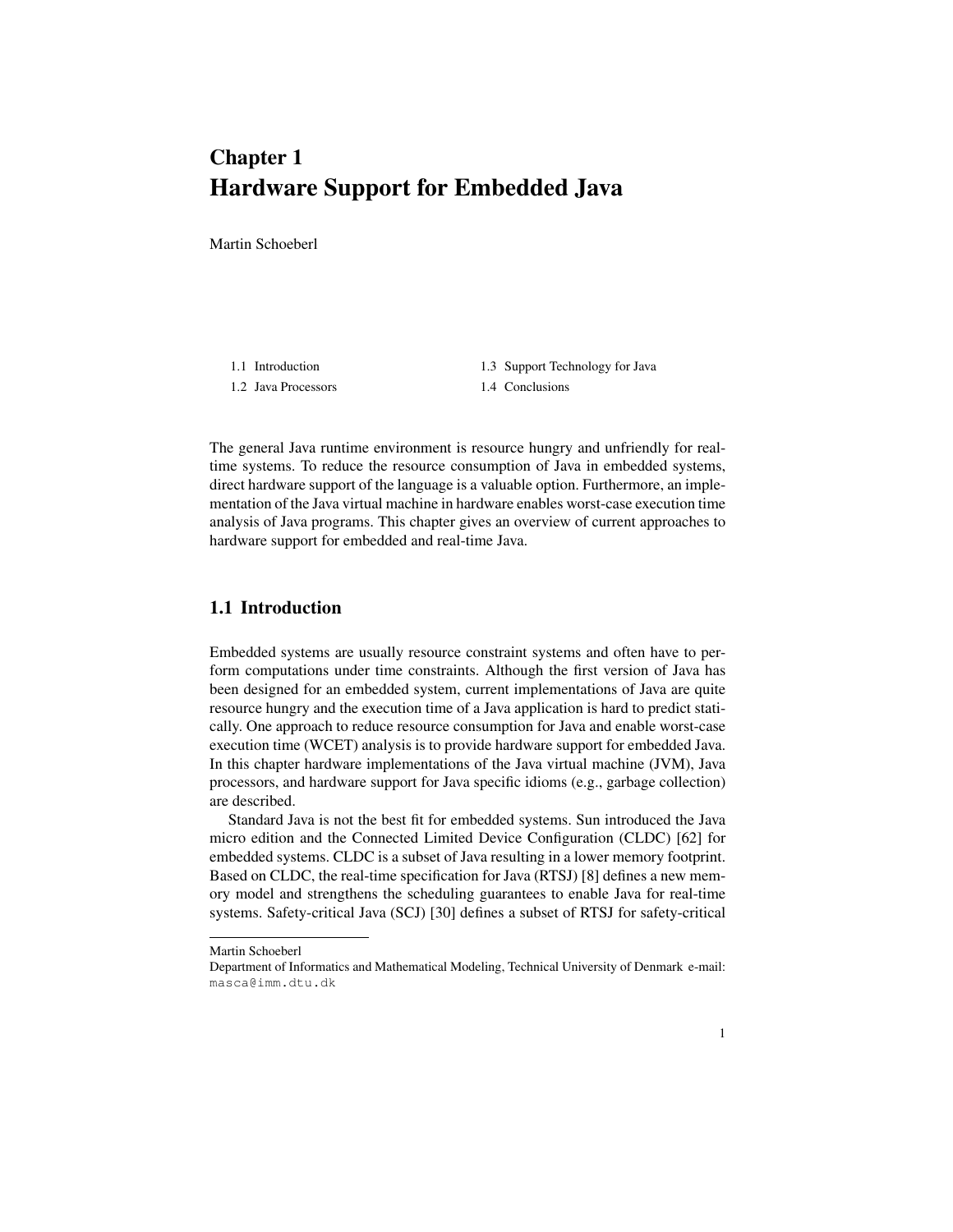# Chapter 1 Hardware Support for Embedded Java

Martin Schoeberl

1.1 Introduction 1.2 Java Processors 1.3 Support Technology for Java 1.4 Conclusions

The general Java runtime environment is resource hungry and unfriendly for realtime systems. To reduce the resource consumption of Java in embedded systems, direct hardware support of the language is a valuable option. Furthermore, an implementation of the Java virtual machine in hardware enables worst-case execution time analysis of Java programs. This chapter gives an overview of current approaches to hardware support for embedded and real-time Java.

## 1.1 Introduction

Embedded systems are usually resource constraint systems and often have to perform computations under time constraints. Although the first version of Java has been designed for an embedded system, current implementations of Java are quite resource hungry and the execution time of a Java application is hard to predict statically. One approach to reduce resource consumption for Java and enable worst-case execution time (WCET) analysis is to provide hardware support for embedded Java. In this chapter hardware implementations of the Java virtual machine (JVM), Java processors, and hardware support for Java specific idioms (e.g., garbage collection) are described.

Standard Java is not the best fit for embedded systems. Sun introduced the Java micro edition and the Connected Limited Device Configuration (CLDC) [62] for embedded systems. CLDC is a subset of Java resulting in a lower memory footprint. Based on CLDC, the real-time specification for Java (RTSJ) [8] defines a new memory model and strengthens the scheduling guarantees to enable Java for real-time systems. Safety-critical Java (SCJ) [30] defines a subset of RTSJ for safety-critical

Martin Schoeberl

Department of Informatics and Mathematical Modeling, Technical University of Denmark e-mail: masca@imm.dtu.dk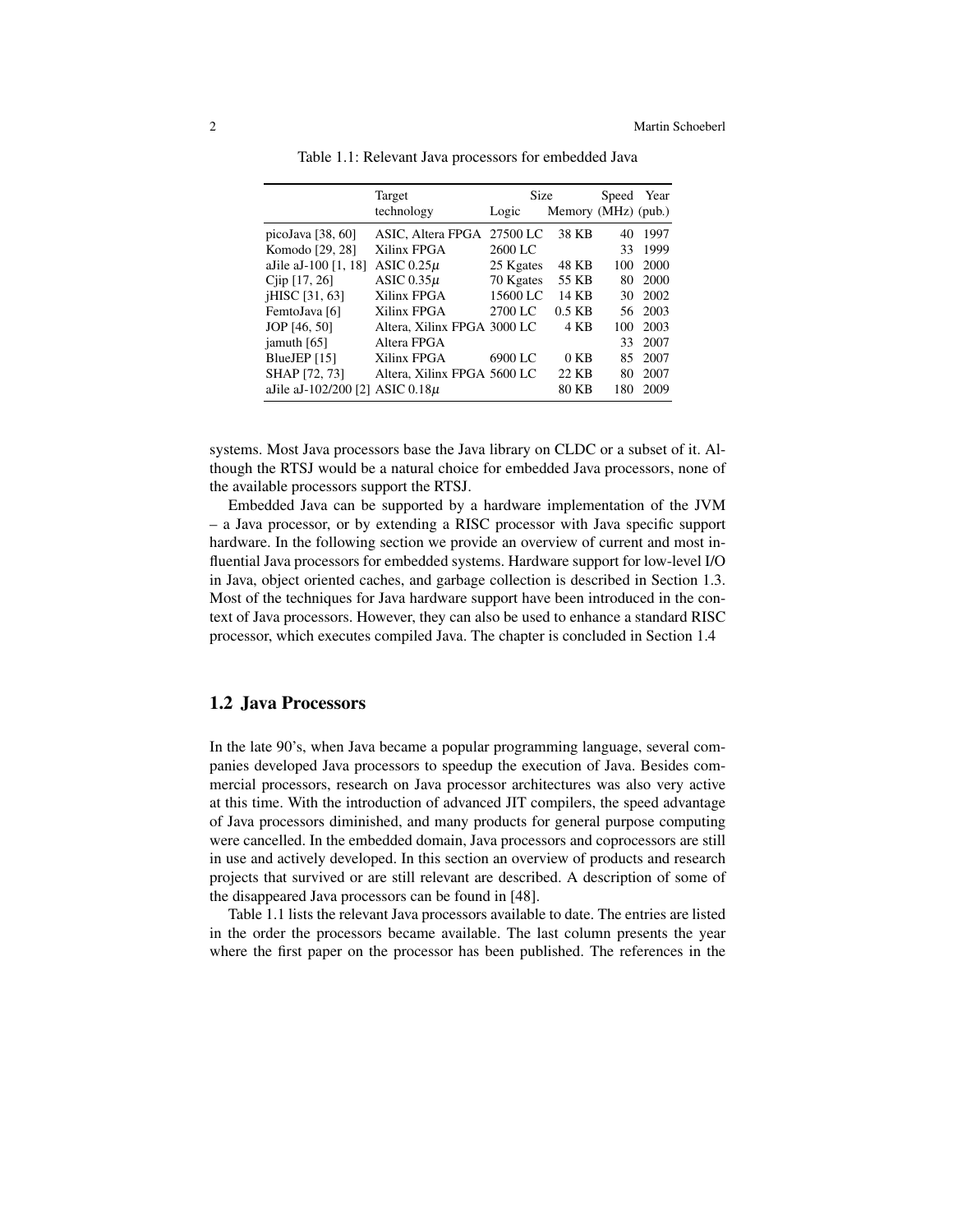|                                     | Target                      | Size      |                     | Speed | Year |
|-------------------------------------|-----------------------------|-----------|---------------------|-------|------|
|                                     | technology                  | Logic     | Memory (MHz) (pub.) |       |      |
| picoJava $[38, 60]$                 | ASIC. Altera FPGA           | 27500 LC  | 38 KB               | 40    | 1997 |
| Komodo [29, 28]                     | Xilinx FPGA                 | 2600 LC   |                     | 33    | 1999 |
| aJile aJ-100 [1, 18]                | ASIC $0.25\mu$              | 25 Kgates | 48 KB               | 100   | 2000 |
| Cip $[17, 26]$                      | ASIC $0.35\mu$              | 70 Kgates | 55 KB               | 80    | 2000 |
| jHISC [31, 63]                      | Xilinx FPGA                 | 15600 LC  | 14 KB               | 30    | 2002 |
| FemtoJava [6]                       | Xilinx FPGA                 | 2700 LC   | $0.5$ KB            | 56    | 2003 |
| JOP [46, 50]                        | Altera, Xilinx FPGA 3000 LC |           | 4 KB                | 100   | 2003 |
| $j$ amuth $[65]$                    | Altera FPGA                 |           |                     | 33    | 2007 |
| BlueJEP $[15]$                      | Xilinx FPGA                 | 6900 LC   | 0 <sub>K</sub> B    | 85    | 2007 |
| SHAP [72, 73]                       | Altera, Xilinx FPGA 5600 LC |           | 22 KB               | 80    | 2007 |
| aJile aJ-102/200 [2] ASIC $0.18\mu$ |                             |           | 80 KB               | 180   | 2009 |

Table 1.1: Relevant Java processors for embedded Java

systems. Most Java processors base the Java library on CLDC or a subset of it. Although the RTSJ would be a natural choice for embedded Java processors, none of the available processors support the RTSJ.

Embedded Java can be supported by a hardware implementation of the JVM – a Java processor, or by extending a RISC processor with Java specific support hardware. In the following section we provide an overview of current and most influential Java processors for embedded systems. Hardware support for low-level I/O in Java, object oriented caches, and garbage collection is described in Section 1.3. Most of the techniques for Java hardware support have been introduced in the context of Java processors. However, they can also be used to enhance a standard RISC processor, which executes compiled Java. The chapter is concluded in Section 1.4

## 1.2 Java Processors

In the late 90's, when Java became a popular programming language, several companies developed Java processors to speedup the execution of Java. Besides commercial processors, research on Java processor architectures was also very active at this time. With the introduction of advanced JIT compilers, the speed advantage of Java processors diminished, and many products for general purpose computing were cancelled. In the embedded domain, Java processors and coprocessors are still in use and actively developed. In this section an overview of products and research projects that survived or are still relevant are described. A description of some of the disappeared Java processors can be found in [48].

Table 1.1 lists the relevant Java processors available to date. The entries are listed in the order the processors became available. The last column presents the year where the first paper on the processor has been published. The references in the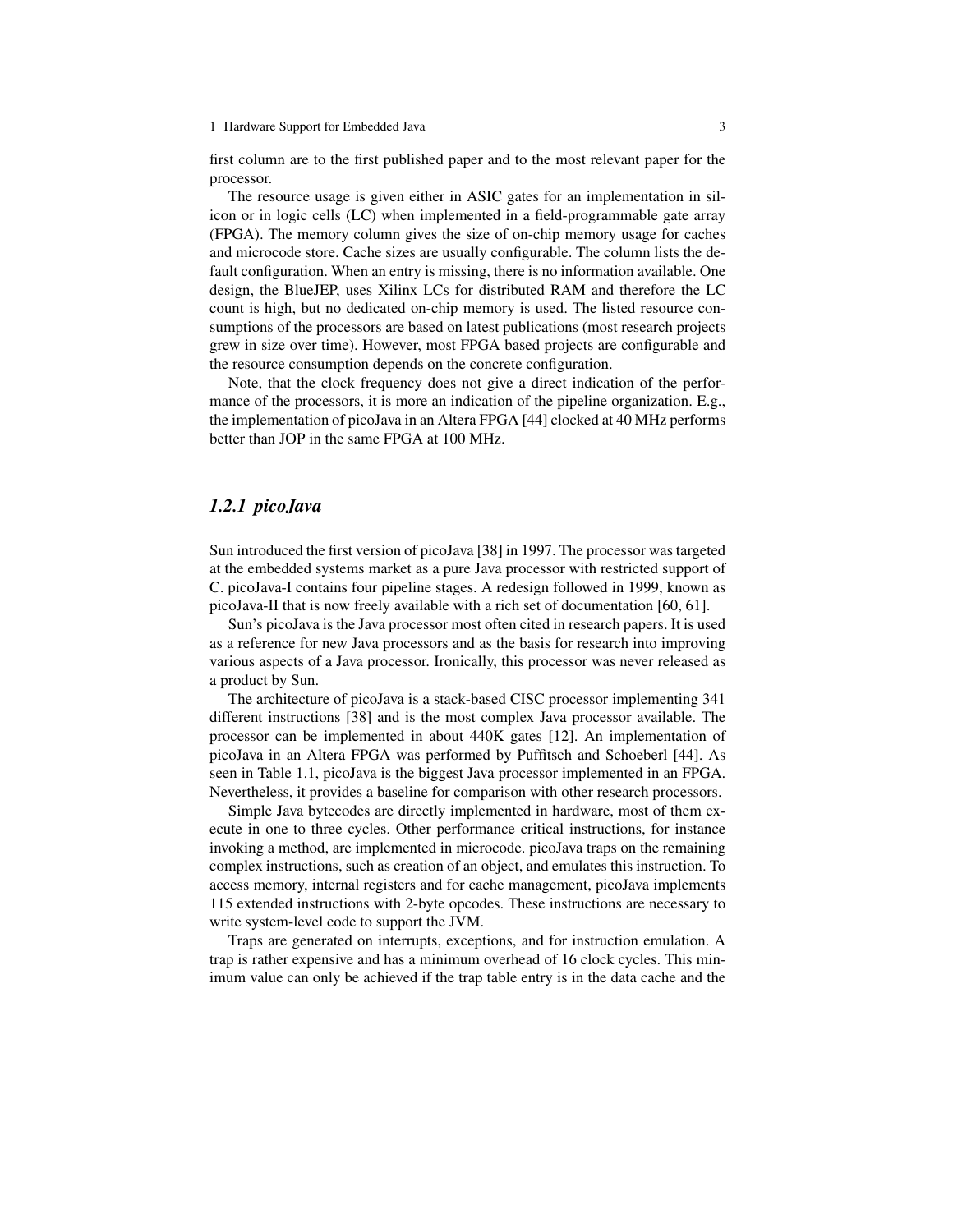first column are to the first published paper and to the most relevant paper for the processor.

The resource usage is given either in ASIC gates for an implementation in silicon or in logic cells (LC) when implemented in a field-programmable gate array (FPGA). The memory column gives the size of on-chip memory usage for caches and microcode store. Cache sizes are usually configurable. The column lists the default configuration. When an entry is missing, there is no information available. One design, the BlueJEP, uses Xilinx LCs for distributed RAM and therefore the LC count is high, but no dedicated on-chip memory is used. The listed resource consumptions of the processors are based on latest publications (most research projects grew in size over time). However, most FPGA based projects are configurable and the resource consumption depends on the concrete configuration.

Note, that the clock frequency does not give a direct indication of the performance of the processors, it is more an indication of the pipeline organization. E.g., the implementation of picoJava in an Altera FPGA [44] clocked at 40 MHz performs better than JOP in the same FPGA at 100 MHz.

## *1.2.1 picoJava*

Sun introduced the first version of picoJava [38] in 1997. The processor was targeted at the embedded systems market as a pure Java processor with restricted support of C. picoJava-I contains four pipeline stages. A redesign followed in 1999, known as picoJava-II that is now freely available with a rich set of documentation [60, 61].

Sun's picoJava is the Java processor most often cited in research papers. It is used as a reference for new Java processors and as the basis for research into improving various aspects of a Java processor. Ironically, this processor was never released as a product by Sun.

The architecture of picoJava is a stack-based CISC processor implementing 341 different instructions [38] and is the most complex Java processor available. The processor can be implemented in about 440K gates [12]. An implementation of picoJava in an Altera FPGA was performed by Puffitsch and Schoeberl [44]. As seen in Table 1.1, picoJava is the biggest Java processor implemented in an FPGA. Nevertheless, it provides a baseline for comparison with other research processors.

Simple Java bytecodes are directly implemented in hardware, most of them execute in one to three cycles. Other performance critical instructions, for instance invoking a method, are implemented in microcode. picoJava traps on the remaining complex instructions, such as creation of an object, and emulates this instruction. To access memory, internal registers and for cache management, picoJava implements 115 extended instructions with 2-byte opcodes. These instructions are necessary to write system-level code to support the JVM.

Traps are generated on interrupts, exceptions, and for instruction emulation. A trap is rather expensive and has a minimum overhead of 16 clock cycles. This minimum value can only be achieved if the trap table entry is in the data cache and the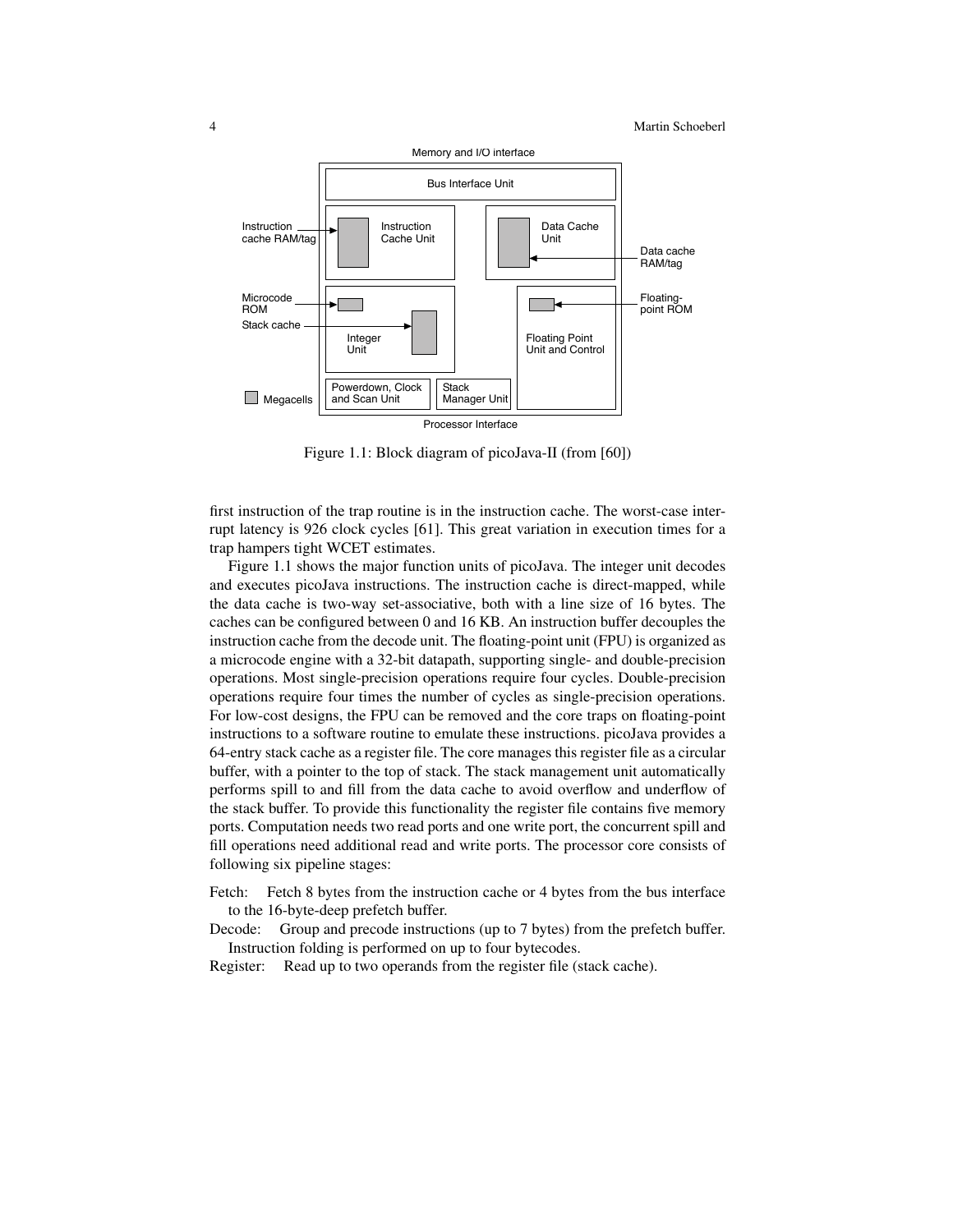

Figure 1.1: Block diagram of picoJava-II (from [60])

first instruction of the trap routine is in the instruction cache. The worst-case interrupt latency is 926 clock cycles [61]. This great variation in execution times for a trap hampers tight WCET estimates.

Figure 1.1 shows the major function units of picoJava. The integer unit decodes and executes picoJava instructions. The instruction cache is direct-mapped, while the data cache is two-way set-associative, both with a line size of 16 bytes. The caches can be configured between 0 and 16 KB. An instruction buffer decouples the instruction cache from the decode unit. The floating-point unit (FPU) is organized as a microcode engine with a 32-bit datapath, supporting single- and double-precision operations. Most single-precision operations require four cycles. Double-precision operations require four times the number of cycles as single-precision operations. For low-cost designs, the FPU can be removed and the core traps on floating-point instructions to a software routine to emulate these instructions. picoJava provides a 64-entry stack cache as a register file. The core manages this register file as a circular buffer, with a pointer to the top of stack. The stack management unit automatically performs spill to and fill from the data cache to avoid overflow and underflow of the stack buffer. To provide this functionality the register file contains five memory ports. Computation needs two read ports and one write port, the concurrent spill and fill operations need additional read and write ports. The processor core consists of following six pipeline stages:

Fetch: Fetch 8 bytes from the instruction cache or 4 bytes from the bus interface to the 16-byte-deep prefetch buffer.

Decode: Group and precode instructions (up to 7 bytes) from the prefetch buffer. Instruction folding is performed on up to four bytecodes.

Register: Read up to two operands from the register file (stack cache).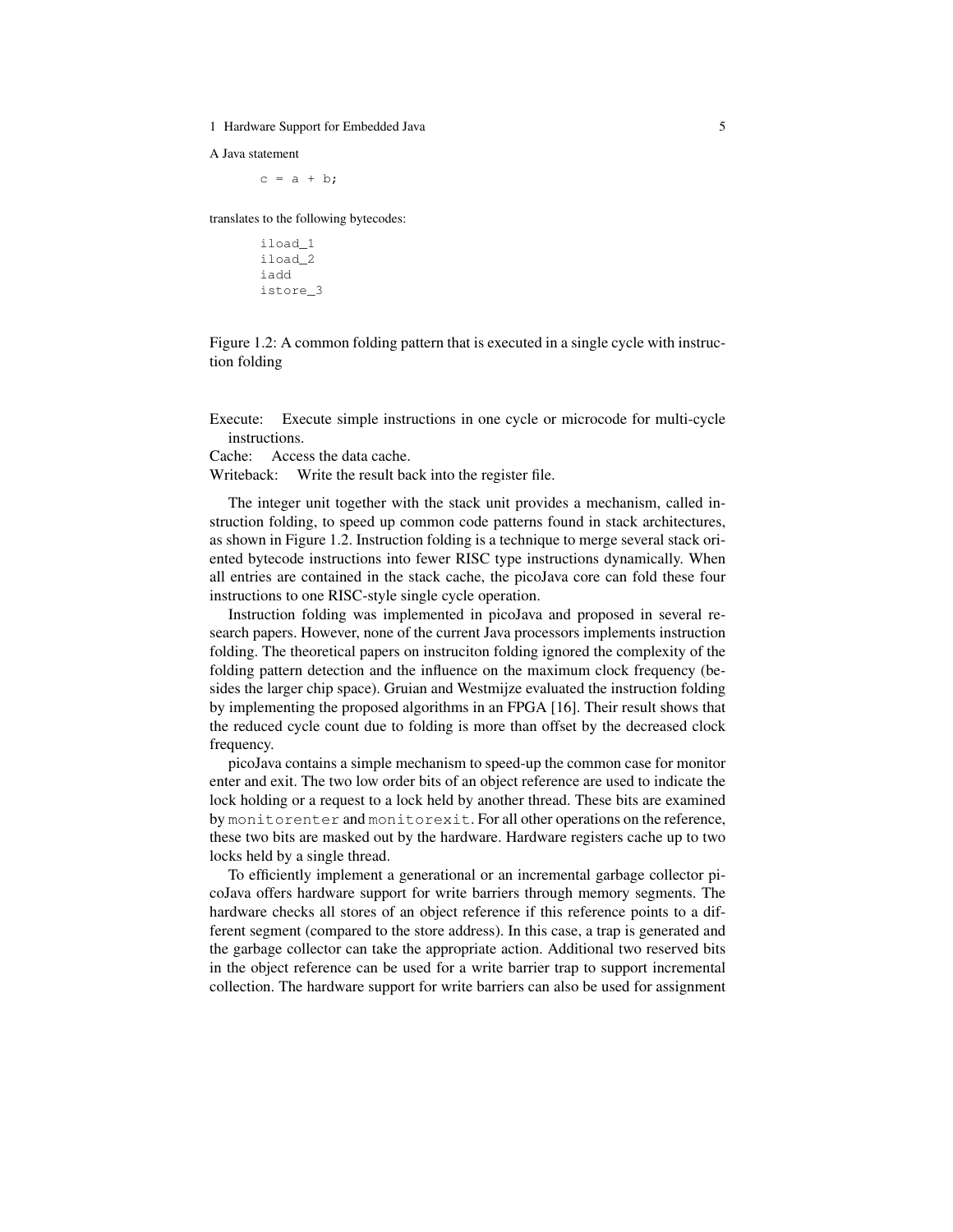A Java statement

 $c = a + b;$ 

translates to the following bytecodes:

iload\_1 iload\_2 iadd istore\_3

Figure 1.2: A common folding pattern that is executed in a single cycle with instruction folding

Execute: Execute simple instructions in one cycle or microcode for multi-cycle instructions.

Cache: Access the data cache.

Writeback: Write the result back into the register file.

The integer unit together with the stack unit provides a mechanism, called instruction folding, to speed up common code patterns found in stack architectures, as shown in Figure 1.2. Instruction folding is a technique to merge several stack oriented bytecode instructions into fewer RISC type instructions dynamically. When all entries are contained in the stack cache, the picoJava core can fold these four instructions to one RISC-style single cycle operation.

Instruction folding was implemented in picoJava and proposed in several research papers. However, none of the current Java processors implements instruction folding. The theoretical papers on instruciton folding ignored the complexity of the folding pattern detection and the influence on the maximum clock frequency (besides the larger chip space). Gruian and Westmijze evaluated the instruction folding by implementing the proposed algorithms in an FPGA [16]. Their result shows that the reduced cycle count due to folding is more than offset by the decreased clock frequency.

picoJava contains a simple mechanism to speed-up the common case for monitor enter and exit. The two low order bits of an object reference are used to indicate the lock holding or a request to a lock held by another thread. These bits are examined by monitorenter and monitorexit. For all other operations on the reference, these two bits are masked out by the hardware. Hardware registers cache up to two locks held by a single thread.

To efficiently implement a generational or an incremental garbage collector picoJava offers hardware support for write barriers through memory segments. The hardware checks all stores of an object reference if this reference points to a different segment (compared to the store address). In this case, a trap is generated and the garbage collector can take the appropriate action. Additional two reserved bits in the object reference can be used for a write barrier trap to support incremental collection. The hardware support for write barriers can also be used for assignment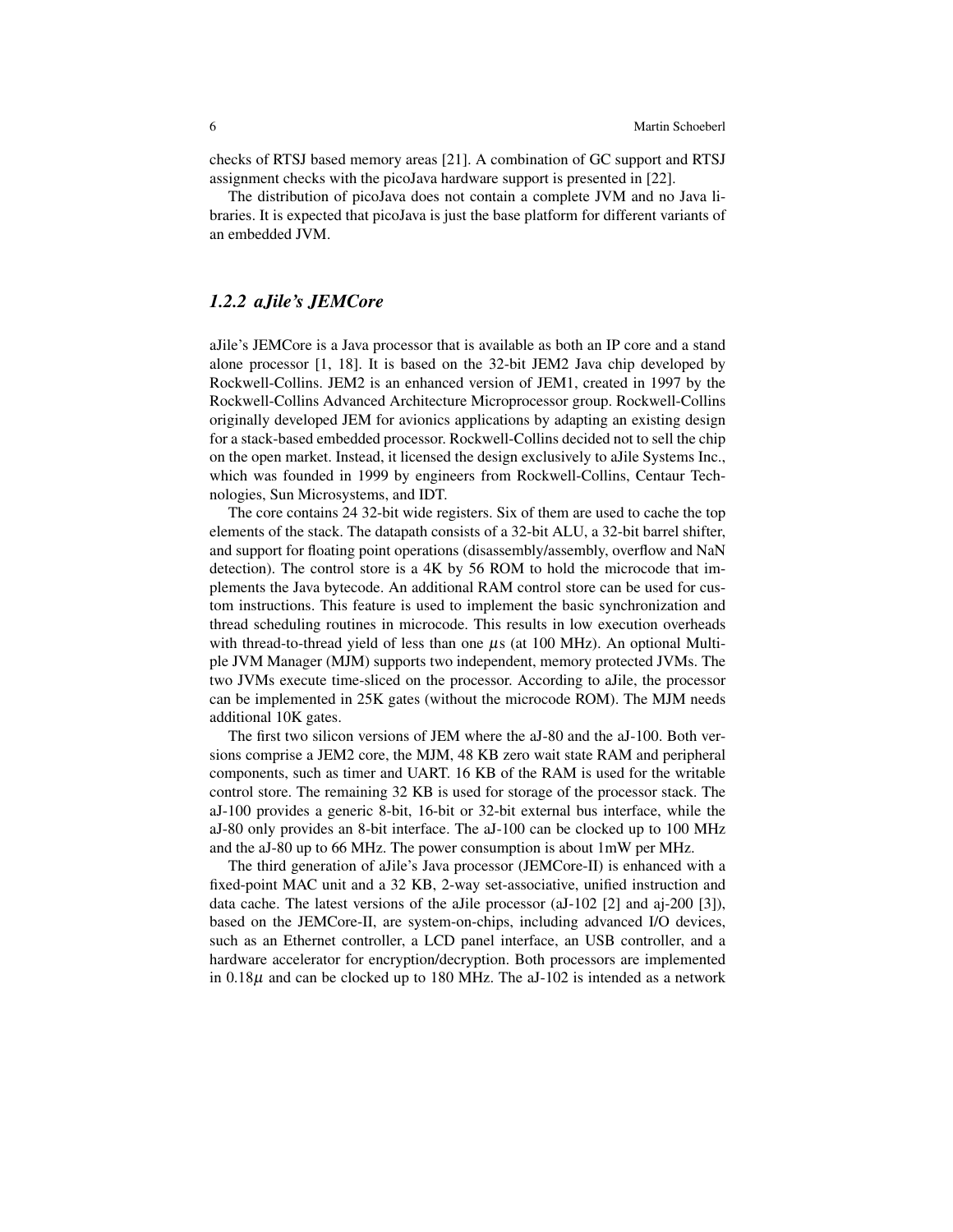checks of RTSJ based memory areas [21]. A combination of GC support and RTSJ assignment checks with the picoJava hardware support is presented in [22].

The distribution of picoJava does not contain a complete JVM and no Java libraries. It is expected that picoJava is just the base platform for different variants of an embedded JVM.

## *1.2.2 aJile's JEMCore*

aJile's JEMCore is a Java processor that is available as both an IP core and a stand alone processor [1, 18]. It is based on the 32-bit JEM2 Java chip developed by Rockwell-Collins. JEM2 is an enhanced version of JEM1, created in 1997 by the Rockwell-Collins Advanced Architecture Microprocessor group. Rockwell-Collins originally developed JEM for avionics applications by adapting an existing design for a stack-based embedded processor. Rockwell-Collins decided not to sell the chip on the open market. Instead, it licensed the design exclusively to aJile Systems Inc., which was founded in 1999 by engineers from Rockwell-Collins, Centaur Technologies, Sun Microsystems, and IDT.

The core contains 24 32-bit wide registers. Six of them are used to cache the top elements of the stack. The datapath consists of a 32-bit ALU, a 32-bit barrel shifter, and support for floating point operations (disassembly/assembly, overflow and NaN detection). The control store is a 4K by 56 ROM to hold the microcode that implements the Java bytecode. An additional RAM control store can be used for custom instructions. This feature is used to implement the basic synchronization and thread scheduling routines in microcode. This results in low execution overheads with thread-to-thread yield of less than one  $\mu$ s (at 100 MHz). An optional Multiple JVM Manager (MJM) supports two independent, memory protected JVMs. The two JVMs execute time-sliced on the processor. According to aJile, the processor can be implemented in 25K gates (without the microcode ROM). The MJM needs additional 10K gates.

The first two silicon versions of JEM where the aJ-80 and the aJ-100. Both versions comprise a JEM2 core, the MJM, 48 KB zero wait state RAM and peripheral components, such as timer and UART. 16 KB of the RAM is used for the writable control store. The remaining 32 KB is used for storage of the processor stack. The aJ-100 provides a generic 8-bit, 16-bit or 32-bit external bus interface, while the aJ-80 only provides an 8-bit interface. The aJ-100 can be clocked up to 100 MHz and the aJ-80 up to 66 MHz. The power consumption is about 1mW per MHz.

The third generation of aJile's Java processor (JEMCore-II) is enhanced with a fixed-point MAC unit and a 32 KB, 2-way set-associative, unified instruction and data cache. The latest versions of the aJile processor (aJ-102 [2] and aj-200 [3]), based on the JEMCore-II, are system-on-chips, including advanced I/O devices, such as an Ethernet controller, a LCD panel interface, an USB controller, and a hardware accelerator for encryption/decryption. Both processors are implemented in  $0.18\mu$  and can be clocked up to 180 MHz. The aJ-102 is intended as a network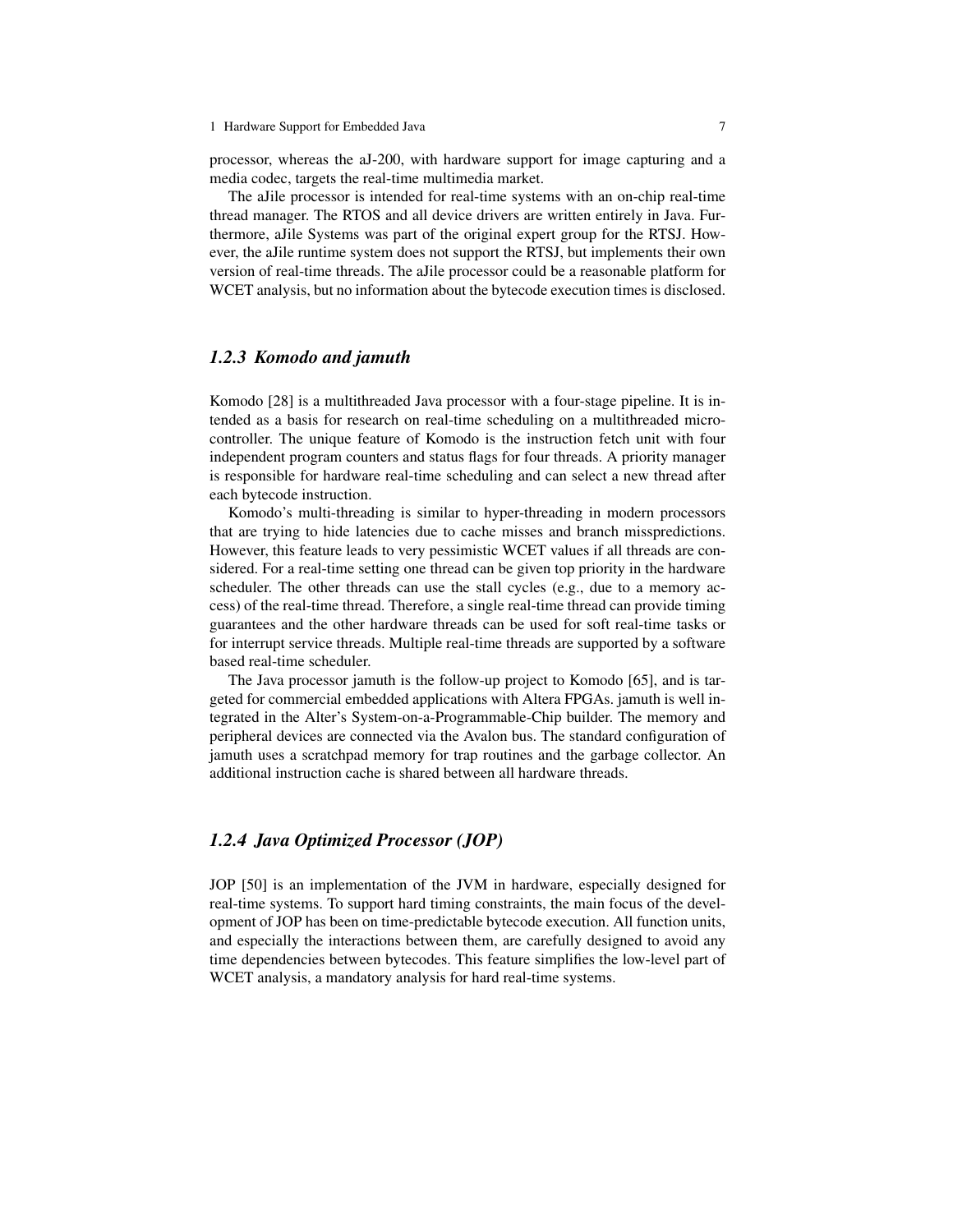processor, whereas the aJ-200, with hardware support for image capturing and a media codec, targets the real-time multimedia market.

The aJile processor is intended for real-time systems with an on-chip real-time thread manager. The RTOS and all device drivers are written entirely in Java. Furthermore, aJile Systems was part of the original expert group for the RTSJ. However, the aJile runtime system does not support the RTSJ, but implements their own version of real-time threads. The aJile processor could be a reasonable platform for WCET analysis, but no information about the bytecode execution times is disclosed.

## *1.2.3 Komodo and jamuth*

Komodo [28] is a multithreaded Java processor with a four-stage pipeline. It is intended as a basis for research on real-time scheduling on a multithreaded microcontroller. The unique feature of Komodo is the instruction fetch unit with four independent program counters and status flags for four threads. A priority manager is responsible for hardware real-time scheduling and can select a new thread after each bytecode instruction.

Komodo's multi-threading is similar to hyper-threading in modern processors that are trying to hide latencies due to cache misses and branch misspredictions. However, this feature leads to very pessimistic WCET values if all threads are considered. For a real-time setting one thread can be given top priority in the hardware scheduler. The other threads can use the stall cycles (e.g., due to a memory access) of the real-time thread. Therefore, a single real-time thread can provide timing guarantees and the other hardware threads can be used for soft real-time tasks or for interrupt service threads. Multiple real-time threads are supported by a software based real-time scheduler.

The Java processor jamuth is the follow-up project to Komodo [65], and is targeted for commercial embedded applications with Altera FPGAs. jamuth is well integrated in the Alter's System-on-a-Programmable-Chip builder. The memory and peripheral devices are connected via the Avalon bus. The standard configuration of jamuth uses a scratchpad memory for trap routines and the garbage collector. An additional instruction cache is shared between all hardware threads.

## *1.2.4 Java Optimized Processor (JOP)*

JOP [50] is an implementation of the JVM in hardware, especially designed for real-time systems. To support hard timing constraints, the main focus of the development of JOP has been on time-predictable bytecode execution. All function units, and especially the interactions between them, are carefully designed to avoid any time dependencies between bytecodes. This feature simplifies the low-level part of WCET analysis, a mandatory analysis for hard real-time systems.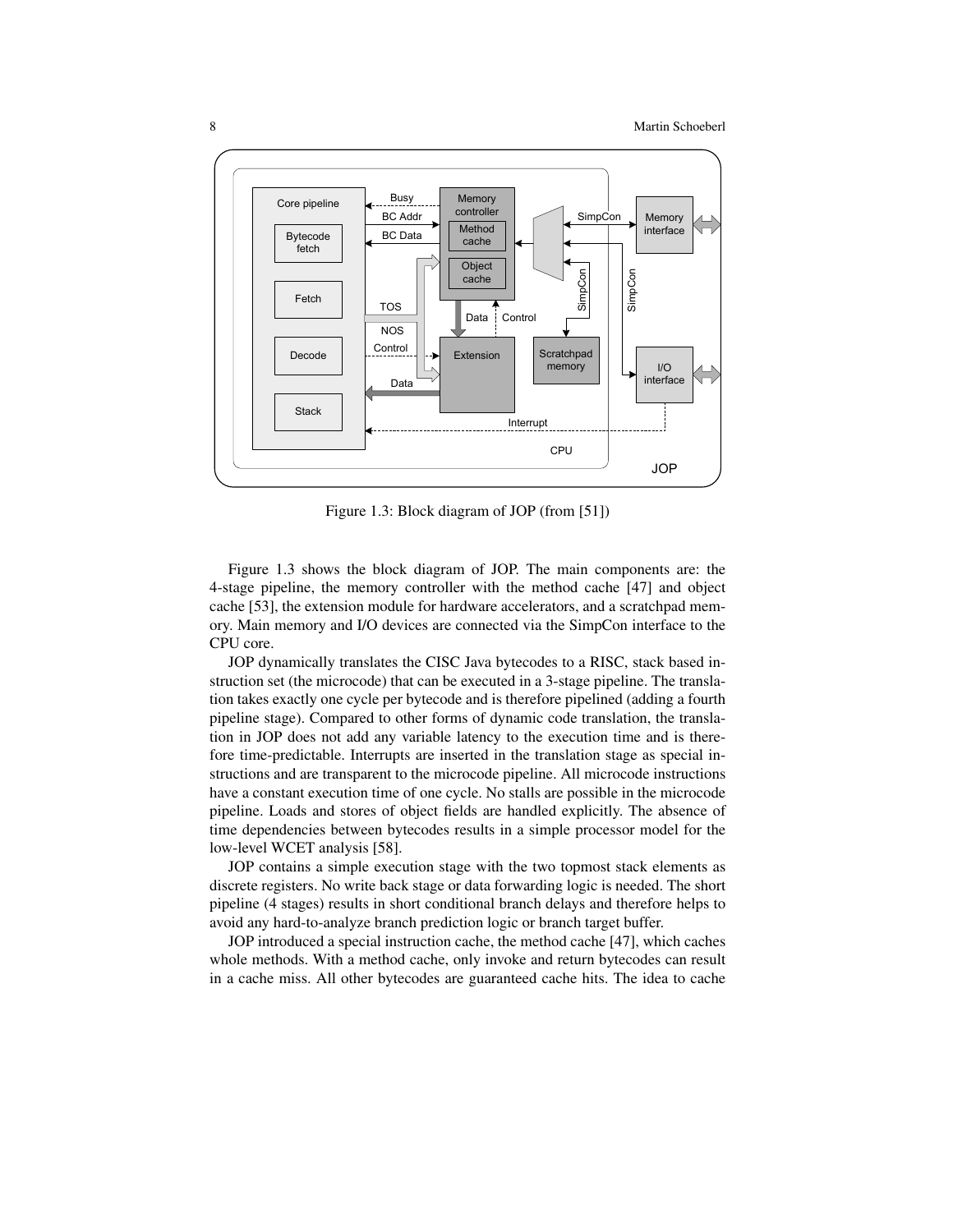

Figure 1.3: Block diagram of JOP (from [51])

Figure 1.3 shows the block diagram of JOP. The main components are: the 4-stage pipeline, the memory controller with the method cache [47] and object cache [53], the extension module for hardware accelerators, and a scratchpad memory. Main memory and I/O devices are connected via the SimpCon interface to the CPU core.

JOP dynamically translates the CISC Java bytecodes to a RISC, stack based instruction set (the microcode) that can be executed in a 3-stage pipeline. The translation takes exactly one cycle per bytecode and is therefore pipelined (adding a fourth pipeline stage). Compared to other forms of dynamic code translation, the translation in JOP does not add any variable latency to the execution time and is therefore time-predictable. Interrupts are inserted in the translation stage as special instructions and are transparent to the microcode pipeline. All microcode instructions have a constant execution time of one cycle. No stalls are possible in the microcode pipeline. Loads and stores of object fields are handled explicitly. The absence of time dependencies between bytecodes results in a simple processor model for the low-level WCET analysis [58].

JOP contains a simple execution stage with the two topmost stack elements as discrete registers. No write back stage or data forwarding logic is needed. The short pipeline (4 stages) results in short conditional branch delays and therefore helps to avoid any hard-to-analyze branch prediction logic or branch target buffer.

JOP introduced a special instruction cache, the method cache [47], which caches whole methods. With a method cache, only invoke and return bytecodes can result in a cache miss. All other bytecodes are guaranteed cache hits. The idea to cache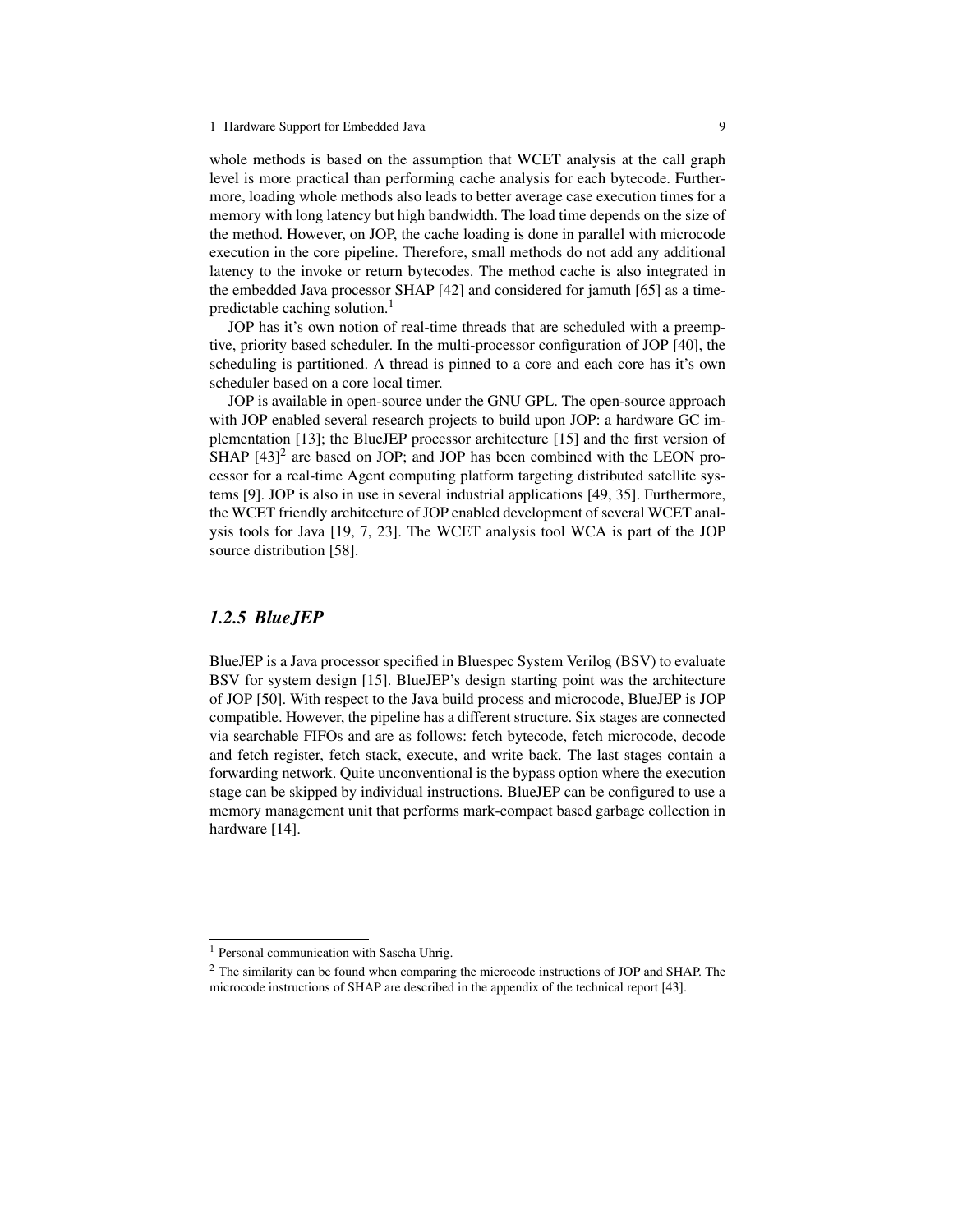whole methods is based on the assumption that WCET analysis at the call graph level is more practical than performing cache analysis for each bytecode. Furthermore, loading whole methods also leads to better average case execution times for a memory with long latency but high bandwidth. The load time depends on the size of the method. However, on JOP, the cache loading is done in parallel with microcode execution in the core pipeline. Therefore, small methods do not add any additional latency to the invoke or return bytecodes. The method cache is also integrated in the embedded Java processor SHAP [42] and considered for jamuth [65] as a timepredictable caching solution.<sup>1</sup>

JOP has it's own notion of real-time threads that are scheduled with a preemptive, priority based scheduler. In the multi-processor configuration of JOP [40], the scheduling is partitioned. A thread is pinned to a core and each core has it's own scheduler based on a core local timer.

JOP is available in open-source under the GNU GPL. The open-source approach with JOP enabled several research projects to build upon JOP: a hardware GC implementation [13]; the BlueJEP processor architecture [15] and the first version of SHAP [43]<sup>2</sup> are based on JOP; and JOP has been combined with the LEON processor for a real-time Agent computing platform targeting distributed satellite systems [9]. JOP is also in use in several industrial applications [49, 35]. Furthermore, the WCET friendly architecture of JOP enabled development of several WCET analysis tools for Java [19, 7, 23]. The WCET analysis tool WCA is part of the JOP source distribution [58].

## *1.2.5 BlueJEP*

BlueJEP is a Java processor specified in Bluespec System Verilog (BSV) to evaluate BSV for system design [15]. BlueJEP's design starting point was the architecture of JOP [50]. With respect to the Java build process and microcode, BlueJEP is JOP compatible. However, the pipeline has a different structure. Six stages are connected via searchable FIFOs and are as follows: fetch bytecode, fetch microcode, decode and fetch register, fetch stack, execute, and write back. The last stages contain a forwarding network. Quite unconventional is the bypass option where the execution stage can be skipped by individual instructions. BlueJEP can be configured to use a memory management unit that performs mark-compact based garbage collection in hardware [14].

<sup>&</sup>lt;sup>1</sup> Personal communication with Sascha Uhrig.

<sup>2</sup> The similarity can be found when comparing the microcode instructions of JOP and SHAP. The microcode instructions of SHAP are described in the appendix of the technical report [43].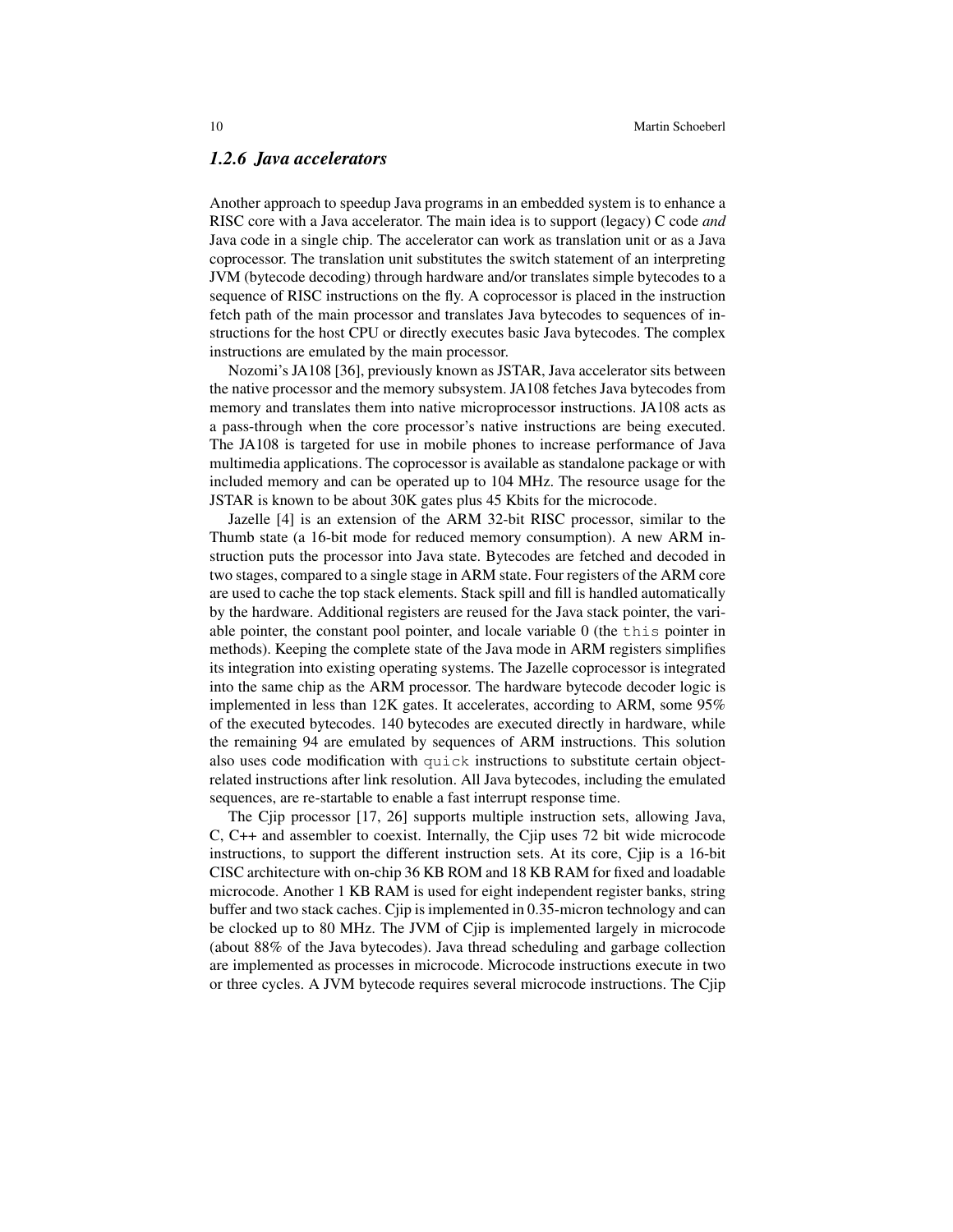### *1.2.6 Java accelerators*

Another approach to speedup Java programs in an embedded system is to enhance a RISC core with a Java accelerator. The main idea is to support (legacy) C code *and* Java code in a single chip. The accelerator can work as translation unit or as a Java coprocessor. The translation unit substitutes the switch statement of an interpreting JVM (bytecode decoding) through hardware and/or translates simple bytecodes to a sequence of RISC instructions on the fly. A coprocessor is placed in the instruction fetch path of the main processor and translates Java bytecodes to sequences of instructions for the host CPU or directly executes basic Java bytecodes. The complex instructions are emulated by the main processor.

Nozomi's JA108 [36], previously known as JSTAR, Java accelerator sits between the native processor and the memory subsystem. JA108 fetches Java bytecodes from memory and translates them into native microprocessor instructions. JA108 acts as a pass-through when the core processor's native instructions are being executed. The JA108 is targeted for use in mobile phones to increase performance of Java multimedia applications. The coprocessor is available as standalone package or with included memory and can be operated up to 104 MHz. The resource usage for the JSTAR is known to be about 30K gates plus 45 Kbits for the microcode.

Jazelle [4] is an extension of the ARM 32-bit RISC processor, similar to the Thumb state (a 16-bit mode for reduced memory consumption). A new ARM instruction puts the processor into Java state. Bytecodes are fetched and decoded in two stages, compared to a single stage in ARM state. Four registers of the ARM core are used to cache the top stack elements. Stack spill and fill is handled automatically by the hardware. Additional registers are reused for the Java stack pointer, the variable pointer, the constant pool pointer, and locale variable 0 (the this pointer in methods). Keeping the complete state of the Java mode in ARM registers simplifies its integration into existing operating systems. The Jazelle coprocessor is integrated into the same chip as the ARM processor. The hardware bytecode decoder logic is implemented in less than 12K gates. It accelerates, according to ARM, some 95% of the executed bytecodes. 140 bytecodes are executed directly in hardware, while the remaining 94 are emulated by sequences of ARM instructions. This solution also uses code modification with quick instructions to substitute certain objectrelated instructions after link resolution. All Java bytecodes, including the emulated sequences, are re-startable to enable a fast interrupt response time.

The Cjip processor [17, 26] supports multiple instruction sets, allowing Java, C, C++ and assembler to coexist. Internally, the Cjip uses 72 bit wide microcode instructions, to support the different instruction sets. At its core, Cjip is a 16-bit CISC architecture with on-chip 36 KB ROM and 18 KB RAM for fixed and loadable microcode. Another 1 KB RAM is used for eight independent register banks, string buffer and two stack caches. Cjip is implemented in 0.35-micron technology and can be clocked up to 80 MHz. The JVM of Cjip is implemented largely in microcode (about 88% of the Java bytecodes). Java thread scheduling and garbage collection are implemented as processes in microcode. Microcode instructions execute in two or three cycles. A JVM bytecode requires several microcode instructions. The Cjip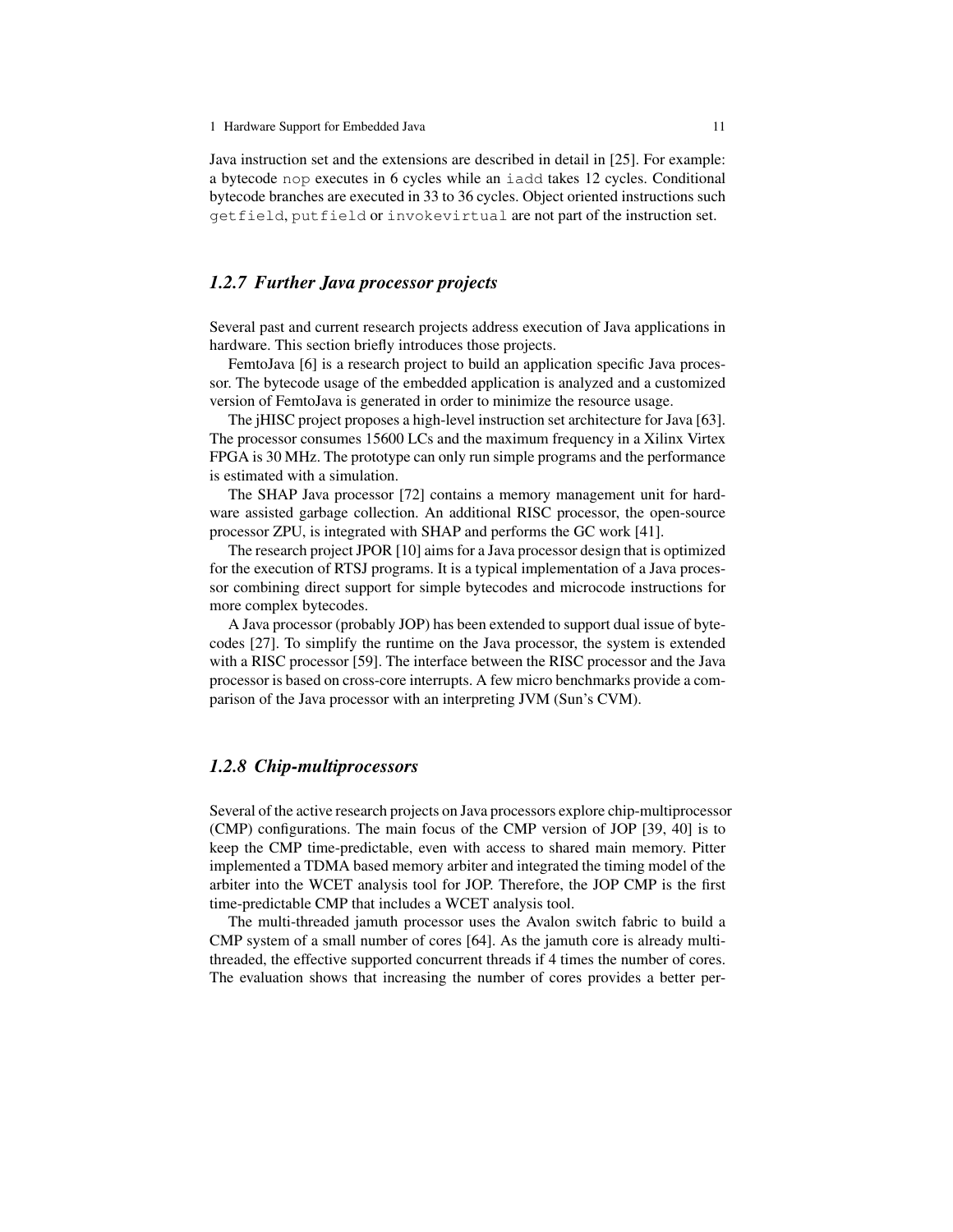Java instruction set and the extensions are described in detail in [25]. For example: a bytecode nop executes in 6 cycles while an iadd takes 12 cycles. Conditional bytecode branches are executed in 33 to 36 cycles. Object oriented instructions such getfield, putfield or invokevirtual are not part of the instruction set.

## *1.2.7 Further Java processor projects*

Several past and current research projects address execution of Java applications in hardware. This section briefly introduces those projects.

FemtoJava [6] is a research project to build an application specific Java processor. The bytecode usage of the embedded application is analyzed and a customized version of FemtoJava is generated in order to minimize the resource usage.

The jHISC project proposes a high-level instruction set architecture for Java [63]. The processor consumes 15600 LCs and the maximum frequency in a Xilinx Virtex FPGA is 30 MHz. The prototype can only run simple programs and the performance is estimated with a simulation.

The SHAP Java processor [72] contains a memory management unit for hardware assisted garbage collection. An additional RISC processor, the open-source processor ZPU, is integrated with SHAP and performs the GC work [41].

The research project JPOR [10] aims for a Java processor design that is optimized for the execution of RTSJ programs. It is a typical implementation of a Java processor combining direct support for simple bytecodes and microcode instructions for more complex bytecodes.

A Java processor (probably JOP) has been extended to support dual issue of bytecodes [27]. To simplify the runtime on the Java processor, the system is extended with a RISC processor [59]. The interface between the RISC processor and the Java processor is based on cross-core interrupts. A few micro benchmarks provide a comparison of the Java processor with an interpreting JVM (Sun's CVM).

#### *1.2.8 Chip-multiprocessors*

Several of the active research projects on Java processors explore chip-multiprocessor (CMP) configurations. The main focus of the CMP version of JOP [39, 40] is to keep the CMP time-predictable, even with access to shared main memory. Pitter implemented a TDMA based memory arbiter and integrated the timing model of the arbiter into the WCET analysis tool for JOP. Therefore, the JOP CMP is the first time-predictable CMP that includes a WCET analysis tool.

The multi-threaded jamuth processor uses the Avalon switch fabric to build a CMP system of a small number of cores [64]. As the jamuth core is already multithreaded, the effective supported concurrent threads if 4 times the number of cores. The evaluation shows that increasing the number of cores provides a better per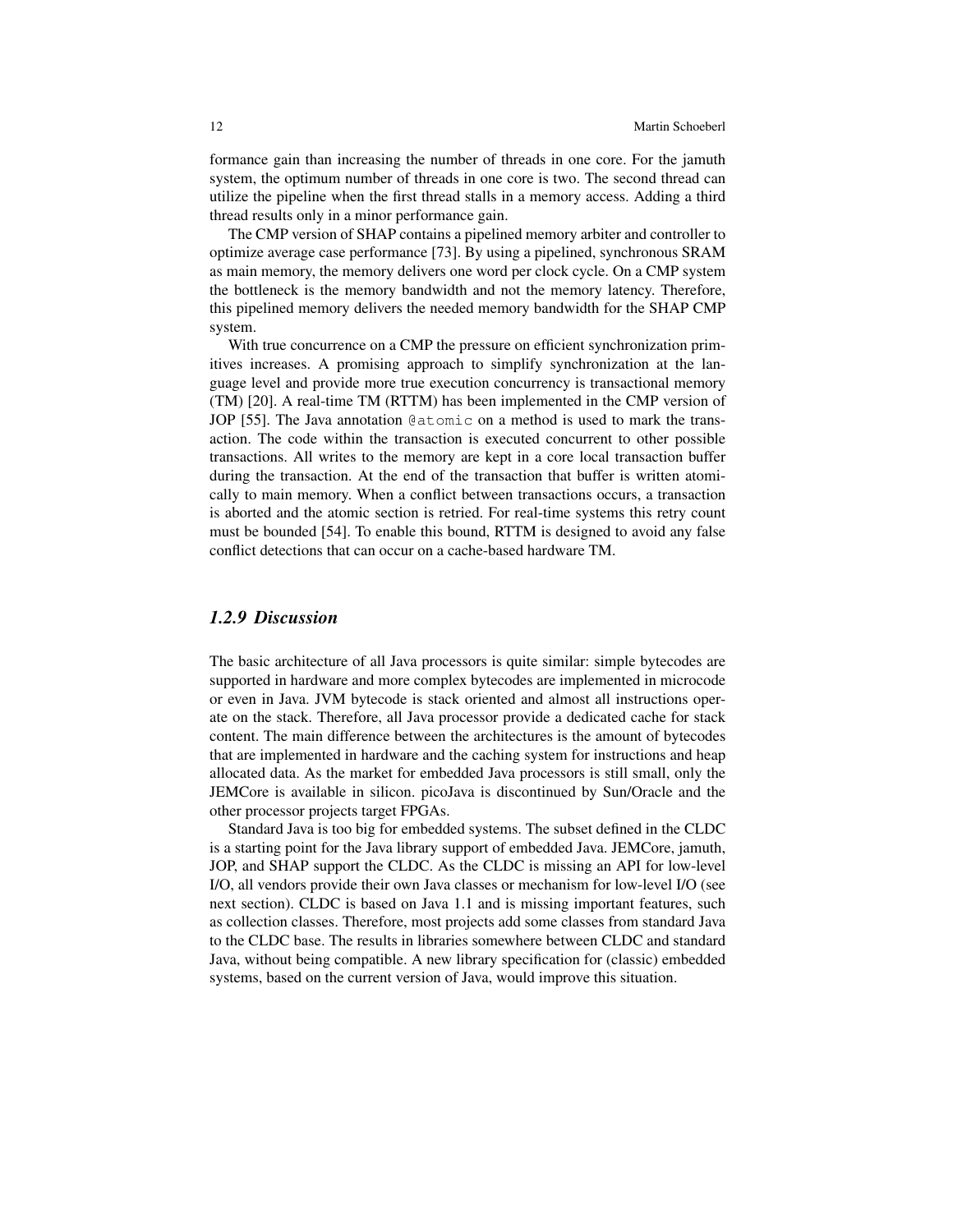formance gain than increasing the number of threads in one core. For the jamuth system, the optimum number of threads in one core is two. The second thread can utilize the pipeline when the first thread stalls in a memory access. Adding a third thread results only in a minor performance gain.

The CMP version of SHAP contains a pipelined memory arbiter and controller to optimize average case performance [73]. By using a pipelined, synchronous SRAM as main memory, the memory delivers one word per clock cycle. On a CMP system the bottleneck is the memory bandwidth and not the memory latency. Therefore, this pipelined memory delivers the needed memory bandwidth for the SHAP CMP system.

With true concurrence on a CMP the pressure on efficient synchronization primitives increases. A promising approach to simplify synchronization at the language level and provide more true execution concurrency is transactional memory (TM) [20]. A real-time TM (RTTM) has been implemented in the CMP version of JOP [55]. The Java annotation @atomic on a method is used to mark the transaction. The code within the transaction is executed concurrent to other possible transactions. All writes to the memory are kept in a core local transaction buffer during the transaction. At the end of the transaction that buffer is written atomically to main memory. When a conflict between transactions occurs, a transaction is aborted and the atomic section is retried. For real-time systems this retry count must be bounded [54]. To enable this bound, RTTM is designed to avoid any false conflict detections that can occur on a cache-based hardware TM.

## *1.2.9 Discussion*

The basic architecture of all Java processors is quite similar: simple bytecodes are supported in hardware and more complex bytecodes are implemented in microcode or even in Java. JVM bytecode is stack oriented and almost all instructions operate on the stack. Therefore, all Java processor provide a dedicated cache for stack content. The main difference between the architectures is the amount of bytecodes that are implemented in hardware and the caching system for instructions and heap allocated data. As the market for embedded Java processors is still small, only the JEMCore is available in silicon. picoJava is discontinued by Sun/Oracle and the other processor projects target FPGAs.

Standard Java is too big for embedded systems. The subset defined in the CLDC is a starting point for the Java library support of embedded Java. JEMCore, jamuth, JOP, and SHAP support the CLDC. As the CLDC is missing an API for low-level I/O, all vendors provide their own Java classes or mechanism for low-level I/O (see next section). CLDC is based on Java 1.1 and is missing important features, such as collection classes. Therefore, most projects add some classes from standard Java to the CLDC base. The results in libraries somewhere between CLDC and standard Java, without being compatible. A new library specification for (classic) embedded systems, based on the current version of Java, would improve this situation.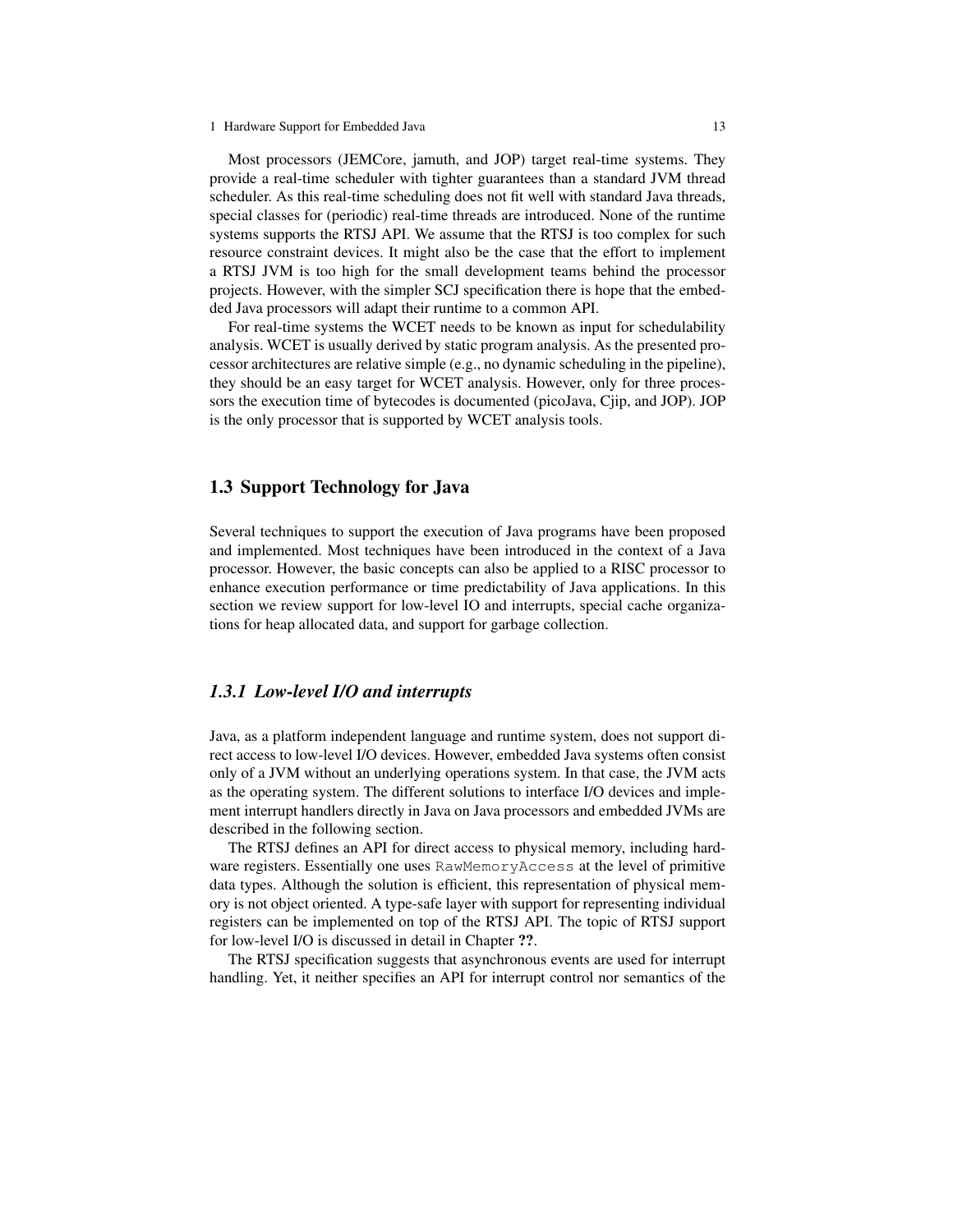Most processors (JEMCore, jamuth, and JOP) target real-time systems. They provide a real-time scheduler with tighter guarantees than a standard JVM thread scheduler. As this real-time scheduling does not fit well with standard Java threads, special classes for (periodic) real-time threads are introduced. None of the runtime systems supports the RTSJ API. We assume that the RTSJ is too complex for such resource constraint devices. It might also be the case that the effort to implement a RTSJ JVM is too high for the small development teams behind the processor projects. However, with the simpler SCJ specification there is hope that the embedded Java processors will adapt their runtime to a common API.

For real-time systems the WCET needs to be known as input for schedulability analysis. WCET is usually derived by static program analysis. As the presented processor architectures are relative simple (e.g., no dynamic scheduling in the pipeline), they should be an easy target for WCET analysis. However, only for three processors the execution time of bytecodes is documented (picoJava, Cjip, and JOP). JOP is the only processor that is supported by WCET analysis tools.

## 1.3 Support Technology for Java

Several techniques to support the execution of Java programs have been proposed and implemented. Most techniques have been introduced in the context of a Java processor. However, the basic concepts can also be applied to a RISC processor to enhance execution performance or time predictability of Java applications. In this section we review support for low-level IO and interrupts, special cache organizations for heap allocated data, and support for garbage collection.

## *1.3.1 Low-level I/O and interrupts*

Java, as a platform independent language and runtime system, does not support direct access to low-level I/O devices. However, embedded Java systems often consist only of a JVM without an underlying operations system. In that case, the JVM acts as the operating system. The different solutions to interface I/O devices and implement interrupt handlers directly in Java on Java processors and embedded JVMs are described in the following section.

The RTSJ defines an API for direct access to physical memory, including hardware registers. Essentially one uses RawMemoryAccess at the level of primitive data types. Although the solution is efficient, this representation of physical memory is not object oriented. A type-safe layer with support for representing individual registers can be implemented on top of the RTSJ API. The topic of RTSJ support for low-level I/O is discussed in detail in Chapter ??.

The RTSJ specification suggests that asynchronous events are used for interrupt handling. Yet, it neither specifies an API for interrupt control nor semantics of the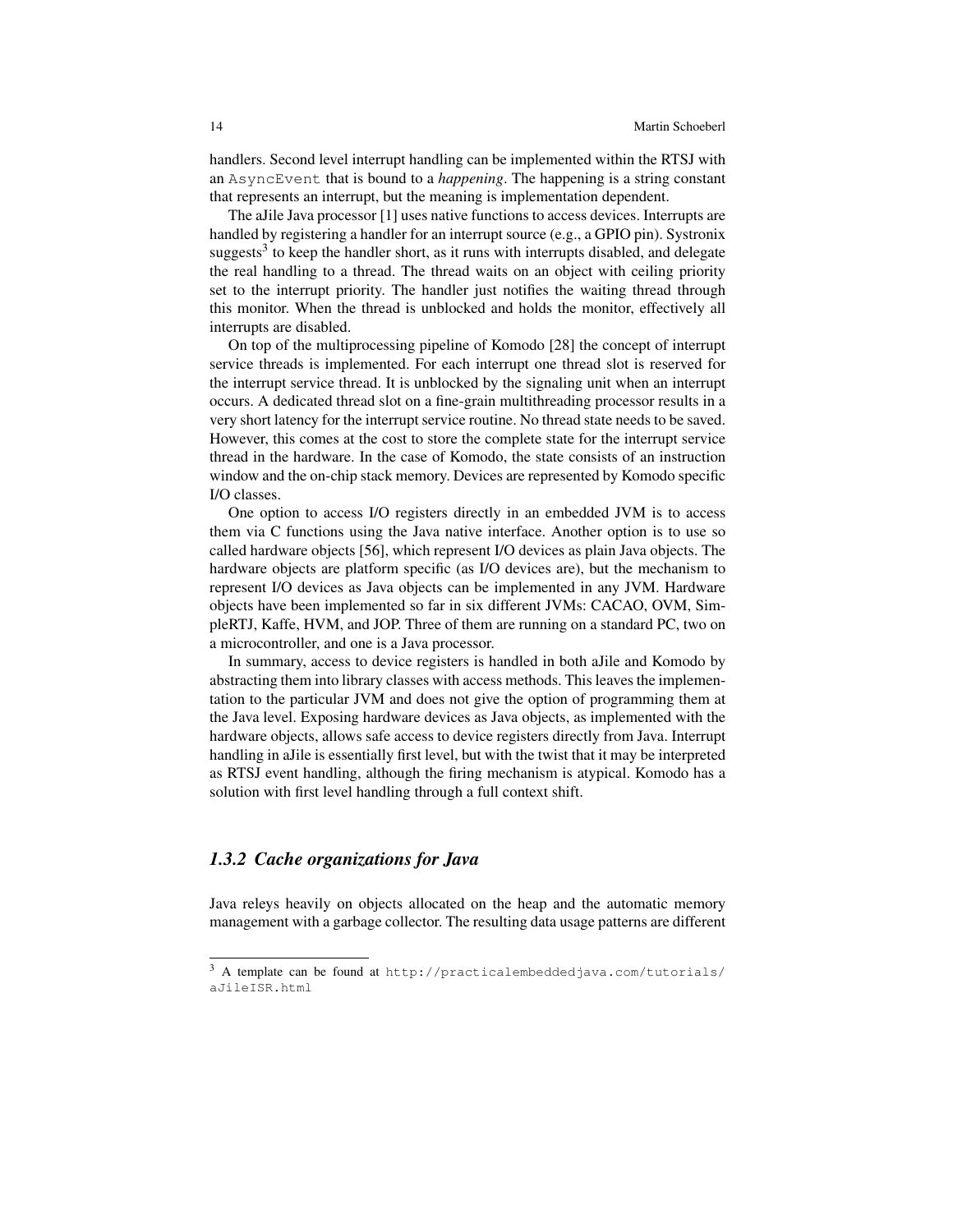handlers. Second level interrupt handling can be implemented within the RTSJ with an AsyncEvent that is bound to a *happening*. The happening is a string constant that represents an interrupt, but the meaning is implementation dependent.

The aJile Java processor [1] uses native functions to access devices. Interrupts are handled by registering a handler for an interrupt source (e.g., a GPIO pin). Systronix suggests<sup>3</sup> to keep the handler short, as it runs with interrupts disabled, and delegate the real handling to a thread. The thread waits on an object with ceiling priority set to the interrupt priority. The handler just notifies the waiting thread through this monitor. When the thread is unblocked and holds the monitor, effectively all interrupts are disabled.

On top of the multiprocessing pipeline of Komodo [28] the concept of interrupt service threads is implemented. For each interrupt one thread slot is reserved for the interrupt service thread. It is unblocked by the signaling unit when an interrupt occurs. A dedicated thread slot on a fine-grain multithreading processor results in a very short latency for the interrupt service routine. No thread state needs to be saved. However, this comes at the cost to store the complete state for the interrupt service thread in the hardware. In the case of Komodo, the state consists of an instruction window and the on-chip stack memory. Devices are represented by Komodo specific I/O classes.

One option to access I/O registers directly in an embedded JVM is to access them via C functions using the Java native interface. Another option is to use so called hardware objects [56], which represent I/O devices as plain Java objects. The hardware objects are platform specific (as I/O devices are), but the mechanism to represent I/O devices as Java objects can be implemented in any JVM. Hardware objects have been implemented so far in six different JVMs: CACAO, OVM, SimpleRTJ, Kaffe, HVM, and JOP. Three of them are running on a standard PC, two on a microcontroller, and one is a Java processor.

In summary, access to device registers is handled in both aJile and Komodo by abstracting them into library classes with access methods. This leaves the implementation to the particular JVM and does not give the option of programming them at the Java level. Exposing hardware devices as Java objects, as implemented with the hardware objects, allows safe access to device registers directly from Java. Interrupt handling in aJile is essentially first level, but with the twist that it may be interpreted as RTSJ event handling, although the firing mechanism is atypical. Komodo has a solution with first level handling through a full context shift.

## *1.3.2 Cache organizations for Java*

Java releys heavily on objects allocated on the heap and the automatic memory management with a garbage collector. The resulting data usage patterns are different

<sup>3</sup> A template can be found at http://practicalembeddedjava.com/tutorials/ aJileISR.html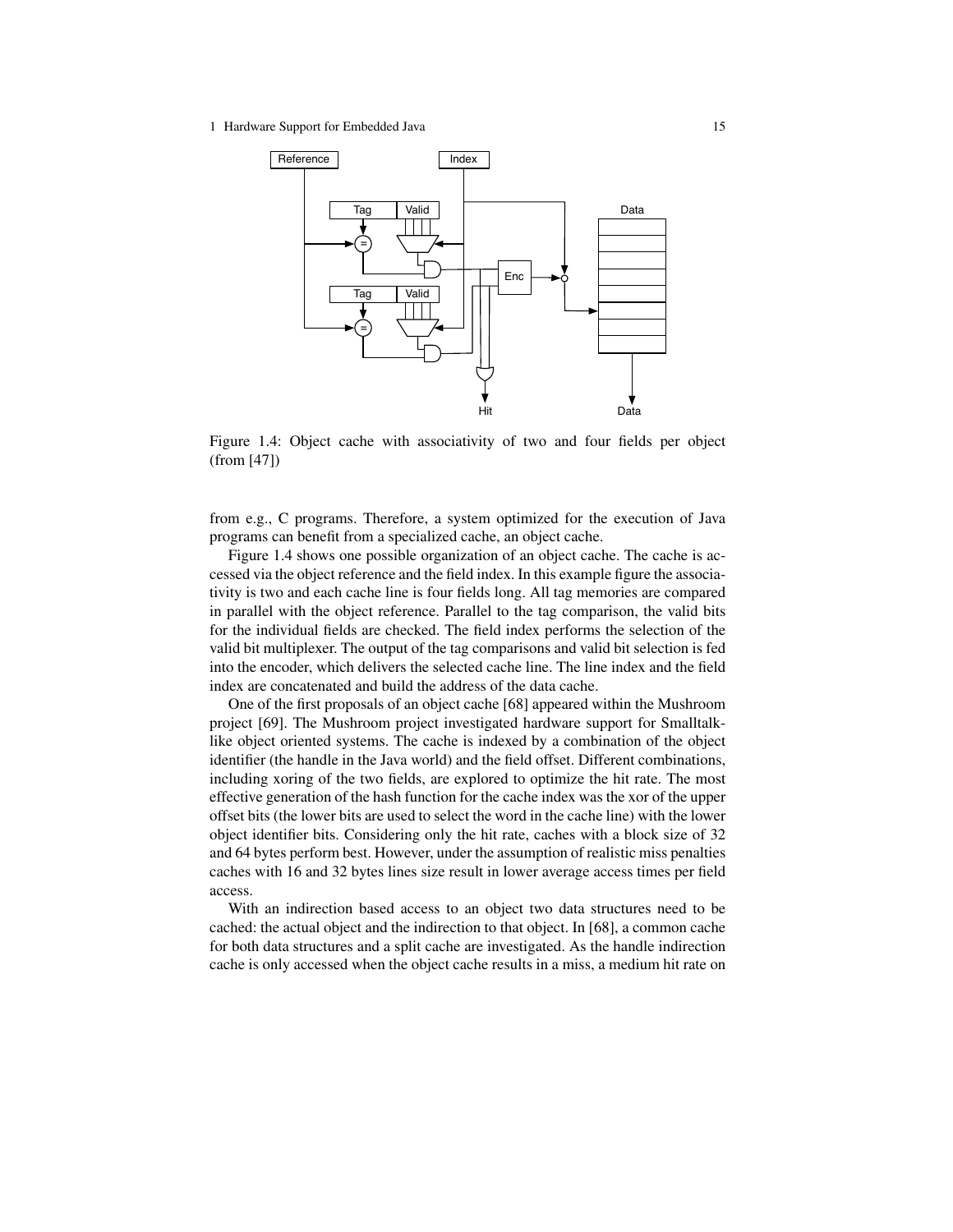

Figure 1.4: Object cache with associativity of two and four fields per object (from [47])

from e.g., C programs. Therefore, a system optimized for the execution of Java programs can benefit from a specialized cache, an object cache.

Figure 1.4 shows one possible organization of an object cache. The cache is accessed via the object reference and the field index. In this example figure the associativity is two and each cache line is four fields long. All tag memories are compared in parallel with the object reference. Parallel to the tag comparison, the valid bits for the individual fields are checked. The field index performs the selection of the valid bit multiplexer. The output of the tag comparisons and valid bit selection is fed into the encoder, which delivers the selected cache line. The line index and the field index are concatenated and build the address of the data cache.

One of the first proposals of an object cache [68] appeared within the Mushroom project [69]. The Mushroom project investigated hardware support for Smalltalklike object oriented systems. The cache is indexed by a combination of the object identifier (the handle in the Java world) and the field offset. Different combinations, including xoring of the two fields, are explored to optimize the hit rate. The most effective generation of the hash function for the cache index was the xor of the upper offset bits (the lower bits are used to select the word in the cache line) with the lower object identifier bits. Considering only the hit rate, caches with a block size of 32 and 64 bytes perform best. However, under the assumption of realistic miss penalties caches with 16 and 32 bytes lines size result in lower average access times per field access.

With an indirection based access to an object two data structures need to be cached: the actual object and the indirection to that object. In [68], a common cache for both data structures and a split cache are investigated. As the handle indirection cache is only accessed when the object cache results in a miss, a medium hit rate on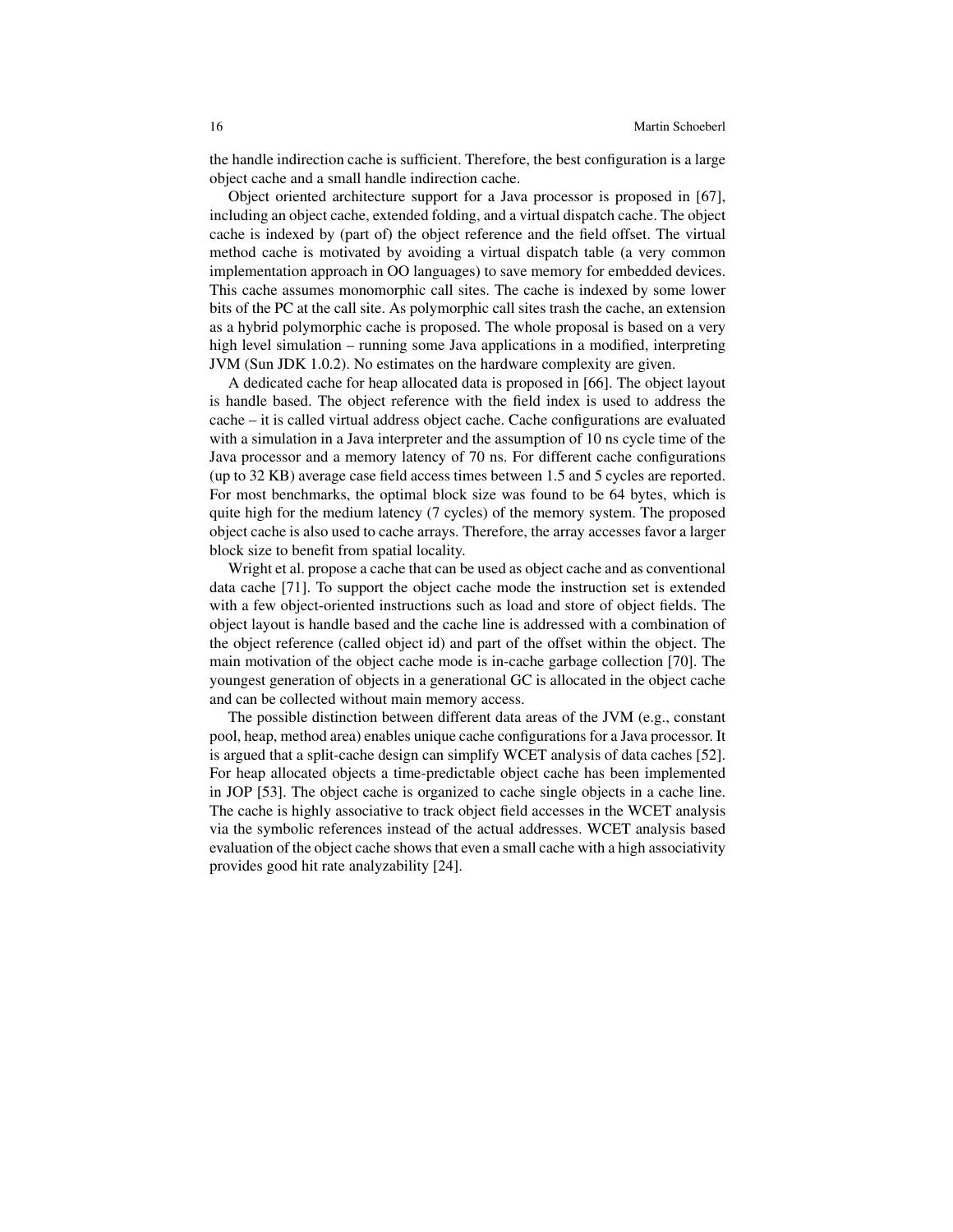the handle indirection cache is sufficient. Therefore, the best configuration is a large object cache and a small handle indirection cache.

Object oriented architecture support for a Java processor is proposed in [67], including an object cache, extended folding, and a virtual dispatch cache. The object cache is indexed by (part of) the object reference and the field offset. The virtual method cache is motivated by avoiding a virtual dispatch table (a very common implementation approach in OO languages) to save memory for embedded devices. This cache assumes monomorphic call sites. The cache is indexed by some lower bits of the PC at the call site. As polymorphic call sites trash the cache, an extension as a hybrid polymorphic cache is proposed. The whole proposal is based on a very high level simulation – running some Java applications in a modified, interpreting JVM (Sun JDK 1.0.2). No estimates on the hardware complexity are given.

A dedicated cache for heap allocated data is proposed in [66]. The object layout is handle based. The object reference with the field index is used to address the cache – it is called virtual address object cache. Cache configurations are evaluated with a simulation in a Java interpreter and the assumption of 10 ns cycle time of the Java processor and a memory latency of 70 ns. For different cache configurations (up to 32 KB) average case field access times between 1.5 and 5 cycles are reported. For most benchmarks, the optimal block size was found to be 64 bytes, which is quite high for the medium latency (7 cycles) of the memory system. The proposed object cache is also used to cache arrays. Therefore, the array accesses favor a larger block size to benefit from spatial locality.

Wright et al. propose a cache that can be used as object cache and as conventional data cache [71]. To support the object cache mode the instruction set is extended with a few object-oriented instructions such as load and store of object fields. The object layout is handle based and the cache line is addressed with a combination of the object reference (called object id) and part of the offset within the object. The main motivation of the object cache mode is in-cache garbage collection [70]. The youngest generation of objects in a generational GC is allocated in the object cache and can be collected without main memory access.

The possible distinction between different data areas of the JVM (e.g., constant pool, heap, method area) enables unique cache configurations for a Java processor. It is argued that a split-cache design can simplify WCET analysis of data caches [52]. For heap allocated objects a time-predictable object cache has been implemented in JOP [53]. The object cache is organized to cache single objects in a cache line. The cache is highly associative to track object field accesses in the WCET analysis via the symbolic references instead of the actual addresses. WCET analysis based evaluation of the object cache shows that even a small cache with a high associativity provides good hit rate analyzability [24].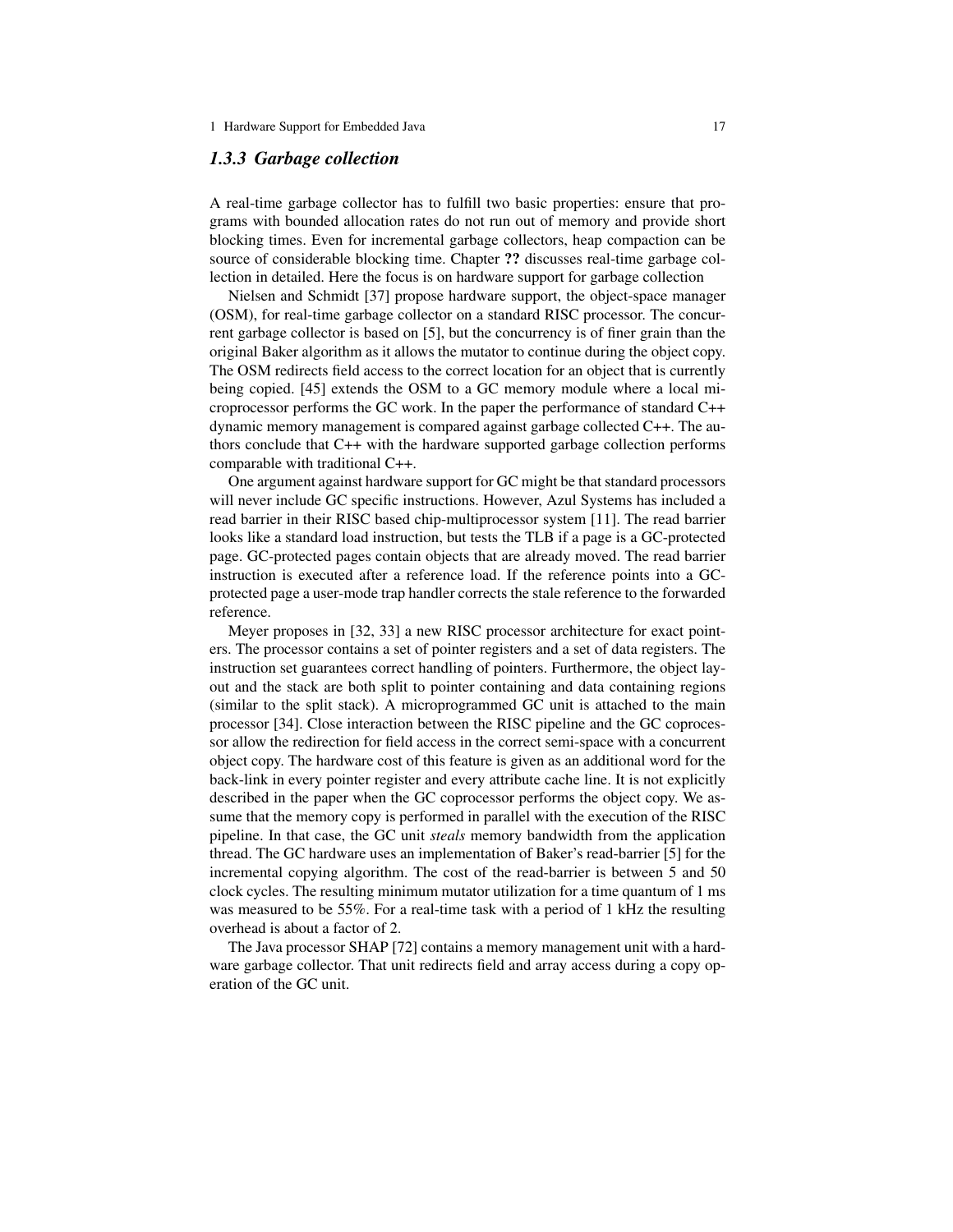### *1.3.3 Garbage collection*

A real-time garbage collector has to fulfill two basic properties: ensure that programs with bounded allocation rates do not run out of memory and provide short blocking times. Even for incremental garbage collectors, heap compaction can be source of considerable blocking time. Chapter ?? discusses real-time garbage collection in detailed. Here the focus is on hardware support for garbage collection

Nielsen and Schmidt [37] propose hardware support, the object-space manager (OSM), for real-time garbage collector on a standard RISC processor. The concurrent garbage collector is based on [5], but the concurrency is of finer grain than the original Baker algorithm as it allows the mutator to continue during the object copy. The OSM redirects field access to the correct location for an object that is currently being copied. [45] extends the OSM to a GC memory module where a local microprocessor performs the GC work. In the paper the performance of standard C++ dynamic memory management is compared against garbage collected C++. The authors conclude that C++ with the hardware supported garbage collection performs comparable with traditional C++.

One argument against hardware support for GC might be that standard processors will never include GC specific instructions. However, Azul Systems has included a read barrier in their RISC based chip-multiprocessor system [11]. The read barrier looks like a standard load instruction, but tests the TLB if a page is a GC-protected page. GC-protected pages contain objects that are already moved. The read barrier instruction is executed after a reference load. If the reference points into a GCprotected page a user-mode trap handler corrects the stale reference to the forwarded reference.

Meyer proposes in [32, 33] a new RISC processor architecture for exact pointers. The processor contains a set of pointer registers and a set of data registers. The instruction set guarantees correct handling of pointers. Furthermore, the object layout and the stack are both split to pointer containing and data containing regions (similar to the split stack). A microprogrammed GC unit is attached to the main processor [34]. Close interaction between the RISC pipeline and the GC coprocessor allow the redirection for field access in the correct semi-space with a concurrent object copy. The hardware cost of this feature is given as an additional word for the back-link in every pointer register and every attribute cache line. It is not explicitly described in the paper when the GC coprocessor performs the object copy. We assume that the memory copy is performed in parallel with the execution of the RISC pipeline. In that case, the GC unit *steals* memory bandwidth from the application thread. The GC hardware uses an implementation of Baker's read-barrier [5] for the incremental copying algorithm. The cost of the read-barrier is between 5 and 50 clock cycles. The resulting minimum mutator utilization for a time quantum of 1 ms was measured to be 55%. For a real-time task with a period of 1 kHz the resulting overhead is about a factor of 2.

The Java processor SHAP [72] contains a memory management unit with a hardware garbage collector. That unit redirects field and array access during a copy operation of the GC unit.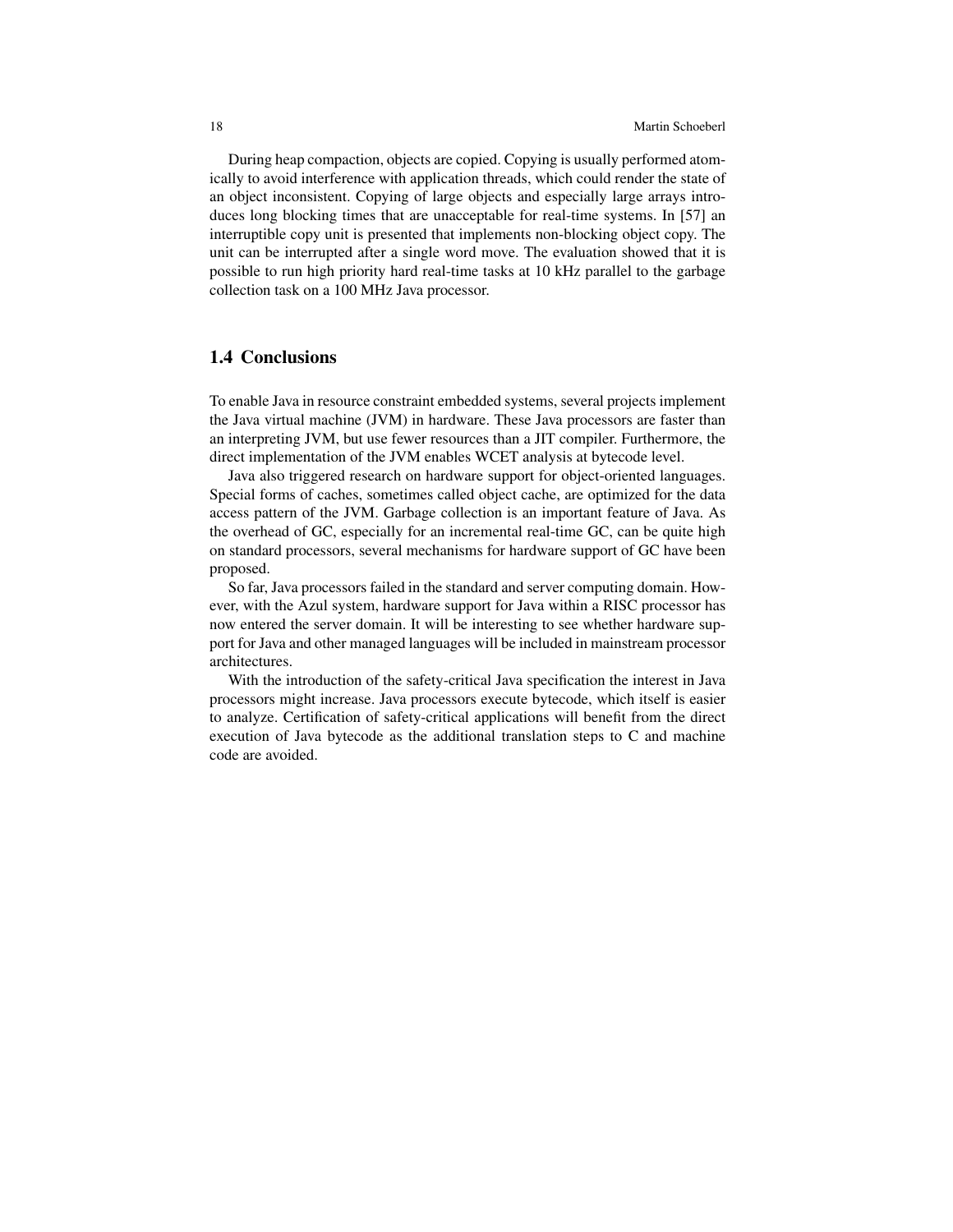During heap compaction, objects are copied. Copying is usually performed atomically to avoid interference with application threads, which could render the state of an object inconsistent. Copying of large objects and especially large arrays introduces long blocking times that are unacceptable for real-time systems. In [57] an interruptible copy unit is presented that implements non-blocking object copy. The unit can be interrupted after a single word move. The evaluation showed that it is possible to run high priority hard real-time tasks at 10 kHz parallel to the garbage collection task on a 100 MHz Java processor.

## 1.4 Conclusions

To enable Java in resource constraint embedded systems, several projects implement the Java virtual machine (JVM) in hardware. These Java processors are faster than an interpreting JVM, but use fewer resources than a JIT compiler. Furthermore, the direct implementation of the JVM enables WCET analysis at bytecode level.

Java also triggered research on hardware support for object-oriented languages. Special forms of caches, sometimes called object cache, are optimized for the data access pattern of the JVM. Garbage collection is an important feature of Java. As the overhead of GC, especially for an incremental real-time GC, can be quite high on standard processors, several mechanisms for hardware support of GC have been proposed.

So far, Java processors failed in the standard and server computing domain. However, with the Azul system, hardware support for Java within a RISC processor has now entered the server domain. It will be interesting to see whether hardware support for Java and other managed languages will be included in mainstream processor architectures.

With the introduction of the safety-critical Java specification the interest in Java processors might increase. Java processors execute bytecode, which itself is easier to analyze. Certification of safety-critical applications will benefit from the direct execution of Java bytecode as the additional translation steps to C and machine code are avoided.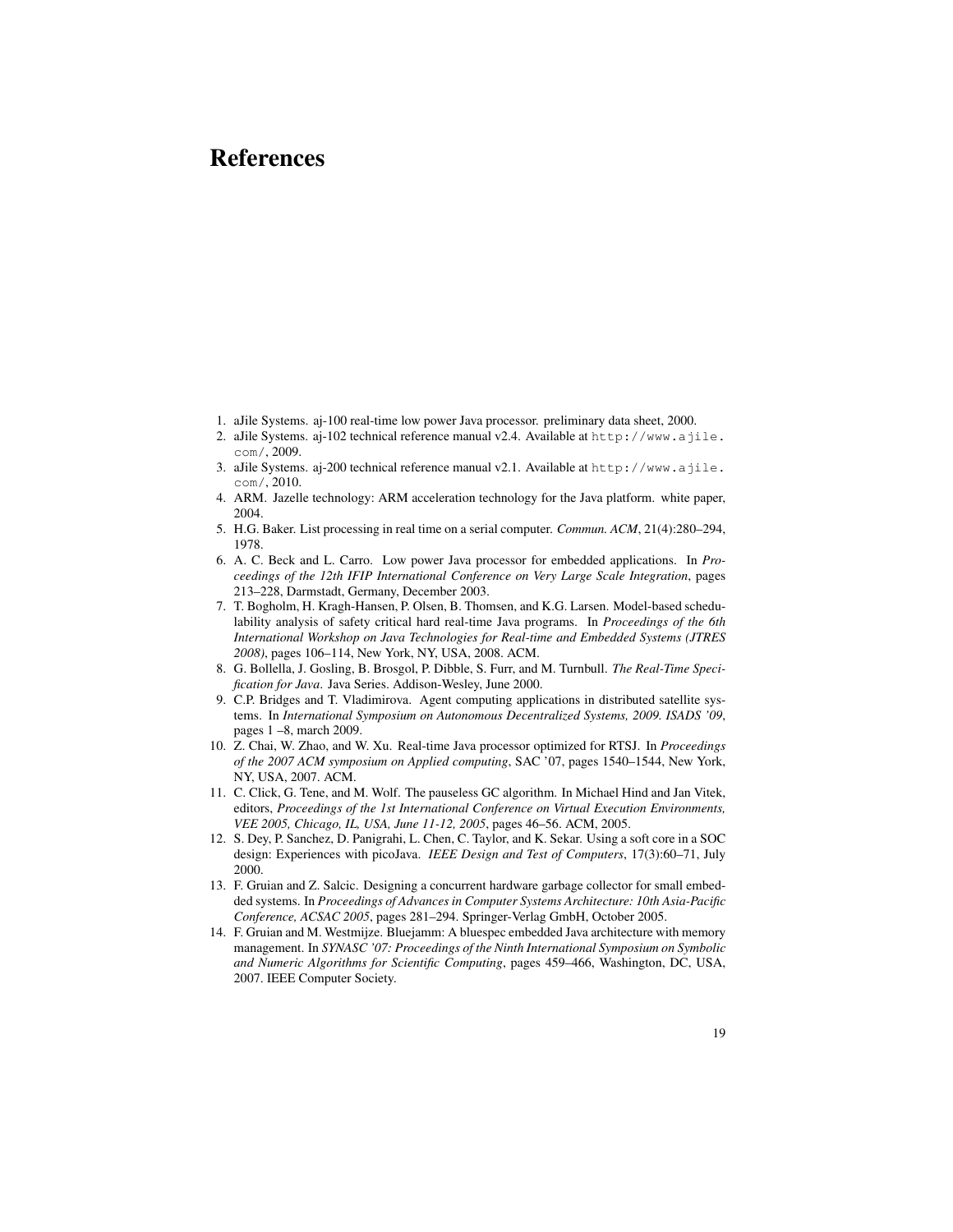# **References**

- 1. aJile Systems. aj-100 real-time low power Java processor. preliminary data sheet, 2000.
- 2. aJile Systems. aj-102 technical reference manual v2.4. Available at http://www.ajile. com/, 2009.
- 3. aJile Systems. aj-200 technical reference manual v2.1. Available at http://www.ajile. com/, 2010.
- 4. ARM. Jazelle technology: ARM acceleration technology for the Java platform. white paper, 2004.
- 5. H.G. Baker. List processing in real time on a serial computer. *Commun. ACM*, 21(4):280–294, 1978.
- 6. A. C. Beck and L. Carro. Low power Java processor for embedded applications. In *Proceedings of the 12th IFIP International Conference on Very Large Scale Integration*, pages 213–228, Darmstadt, Germany, December 2003.
- 7. T. Bogholm, H. Kragh-Hansen, P. Olsen, B. Thomsen, and K.G. Larsen. Model-based schedulability analysis of safety critical hard real-time Java programs. In *Proceedings of the 6th International Workshop on Java Technologies for Real-time and Embedded Systems (JTRES 2008)*, pages 106–114, New York, NY, USA, 2008. ACM.
- 8. G. Bollella, J. Gosling, B. Brosgol, P. Dibble, S. Furr, and M. Turnbull. *The Real-Time Specification for Java*. Java Series. Addison-Wesley, June 2000.
- 9. C.P. Bridges and T. Vladimirova. Agent computing applications in distributed satellite systems. In *International Symposium on Autonomous Decentralized Systems, 2009. ISADS '09*, pages 1 –8, march 2009.
- 10. Z. Chai, W. Zhao, and W. Xu. Real-time Java processor optimized for RTSJ. In *Proceedings of the 2007 ACM symposium on Applied computing*, SAC '07, pages 1540–1544, New York, NY, USA, 2007. ACM.
- 11. C. Click, G. Tene, and M. Wolf. The pauseless GC algorithm. In Michael Hind and Jan Vitek, editors, *Proceedings of the 1st International Conference on Virtual Execution Environments, VEE 2005, Chicago, IL, USA, June 11-12, 2005*, pages 46–56. ACM, 2005.
- 12. S. Dey, P. Sanchez, D. Panigrahi, L. Chen, C. Taylor, and K. Sekar. Using a soft core in a SOC design: Experiences with picoJava. *IEEE Design and Test of Computers*, 17(3):60–71, July 2000.
- 13. F. Gruian and Z. Salcic. Designing a concurrent hardware garbage collector for small embedded systems. In *Proceedings of Advances in Computer Systems Architecture: 10th Asia-Pacific Conference, ACSAC 2005*, pages 281–294. Springer-Verlag GmbH, October 2005.
- 14. F. Gruian and M. Westmijze. Bluejamm: A bluespec embedded Java architecture with memory management. In *SYNASC '07: Proceedings of the Ninth International Symposium on Symbolic and Numeric Algorithms for Scientific Computing*, pages 459–466, Washington, DC, USA, 2007. IEEE Computer Society.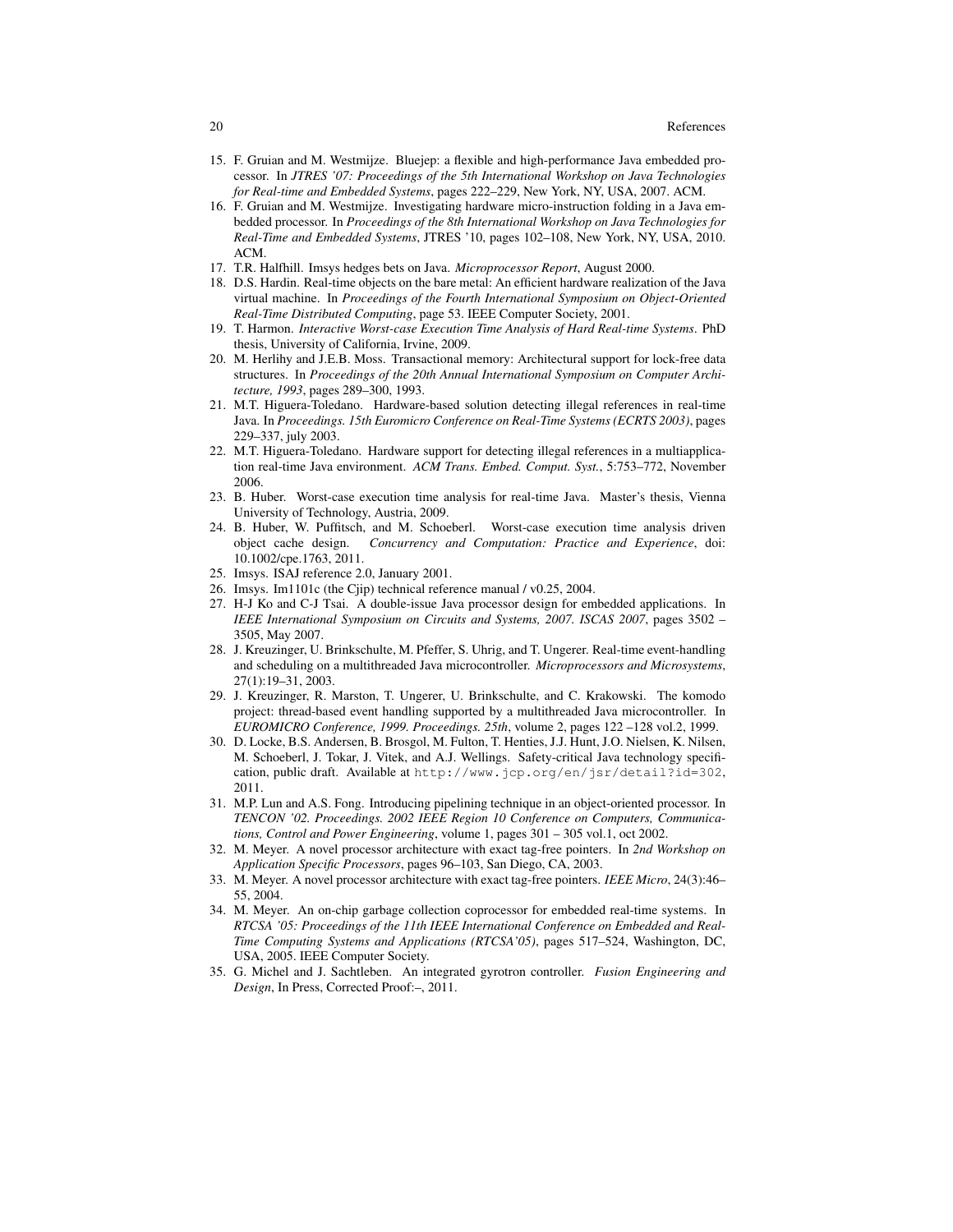- 15. F. Gruian and M. Westmijze. Bluejep: a flexible and high-performance Java embedded processor. In *JTRES '07: Proceedings of the 5th International Workshop on Java Technologies for Real-time and Embedded Systems*, pages 222–229, New York, NY, USA, 2007. ACM.
- 16. F. Gruian and M. Westmijze. Investigating hardware micro-instruction folding in a Java embedded processor. In *Proceedings of the 8th International Workshop on Java Technologies for Real-Time and Embedded Systems*, JTRES '10, pages 102–108, New York, NY, USA, 2010.  $ACM$
- 17. T.R. Halfhill. Imsys hedges bets on Java. *Microprocessor Report*, August 2000.
- 18. D.S. Hardin. Real-time objects on the bare metal: An efficient hardware realization of the Java virtual machine. In *Proceedings of the Fourth International Symposium on Object-Oriented Real-Time Distributed Computing*, page 53. IEEE Computer Society, 2001.
- 19. T. Harmon. *Interactive Worst-case Execution Time Analysis of Hard Real-time Systems*. PhD thesis, University of California, Irvine, 2009.
- 20. M. Herlihy and J.E.B. Moss. Transactional memory: Architectural support for lock-free data structures. In *Proceedings of the 20th Annual International Symposium on Computer Architecture, 1993*, pages 289–300, 1993.
- 21. M.T. Higuera-Toledano. Hardware-based solution detecting illegal references in real-time Java. In *Proceedings. 15th Euromicro Conference on Real-Time Systems (ECRTS 2003)*, pages 229–337, july 2003.
- 22. M.T. Higuera-Toledano. Hardware support for detecting illegal references in a multiapplication real-time Java environment. *ACM Trans. Embed. Comput. Syst.*, 5:753–772, November 2006.
- 23. B. Huber. Worst-case execution time analysis for real-time Java. Master's thesis, Vienna University of Technology, Austria, 2009.
- 24. B. Huber, W. Puffitsch, and M. Schoeberl. Worst-case execution time analysis driven object cache design. *Concurrency and Computation: Practice and Experience*, doi: 10.1002/cpe.1763, 2011.
- 25. Imsys. ISAJ reference 2.0, January 2001.
- 26. Imsys. Im1101c (the Cjip) technical reference manual / v0.25, 2004.
- 27. H-J Ko and C-J Tsai. A double-issue Java processor design for embedded applications. In *IEEE International Symposium on Circuits and Systems, 2007. ISCAS 2007*, pages 3502 – 3505, May 2007.
- 28. J. Kreuzinger, U. Brinkschulte, M. Pfeffer, S. Uhrig, and T. Ungerer. Real-time event-handling and scheduling on a multithreaded Java microcontroller. *Microprocessors and Microsystems*, 27(1):19–31, 2003.
- 29. J. Kreuzinger, R. Marston, T. Ungerer, U. Brinkschulte, and C. Krakowski. The komodo project: thread-based event handling supported by a multithreaded Java microcontroller. In *EUROMICRO Conference, 1999. Proceedings. 25th*, volume 2, pages 122 –128 vol.2, 1999.
- 30. D. Locke, B.S. Andersen, B. Brosgol, M. Fulton, T. Henties, J.J. Hunt, J.O. Nielsen, K. Nilsen, M. Schoeberl, J. Tokar, J. Vitek, and A.J. Wellings. Safety-critical Java technology specification, public draft. Available at http://www.jcp.org/en/jsr/detail?id=302, 2011.
- 31. M.P. Lun and A.S. Fong. Introducing pipelining technique in an object-oriented processor. In *TENCON '02. Proceedings. 2002 IEEE Region 10 Conference on Computers, Communications, Control and Power Engineering*, volume 1, pages 301 – 305 vol.1, oct 2002.
- 32. M. Meyer. A novel processor architecture with exact tag-free pointers. In *2nd Workshop on Application Specific Processors*, pages 96–103, San Diego, CA, 2003.
- 33. M. Meyer. A novel processor architecture with exact tag-free pointers. *IEEE Micro*, 24(3):46– 55, 2004.
- 34. M. Meyer. An on-chip garbage collection coprocessor for embedded real-time systems. In *RTCSA '05: Proceedings of the 11th IEEE International Conference on Embedded and Real-Time Computing Systems and Applications (RTCSA'05)*, pages 517–524, Washington, DC, USA, 2005. IEEE Computer Society.
- 35. G. Michel and J. Sachtleben. An integrated gyrotron controller. *Fusion Engineering and Design*, In Press, Corrected Proof:–, 2011.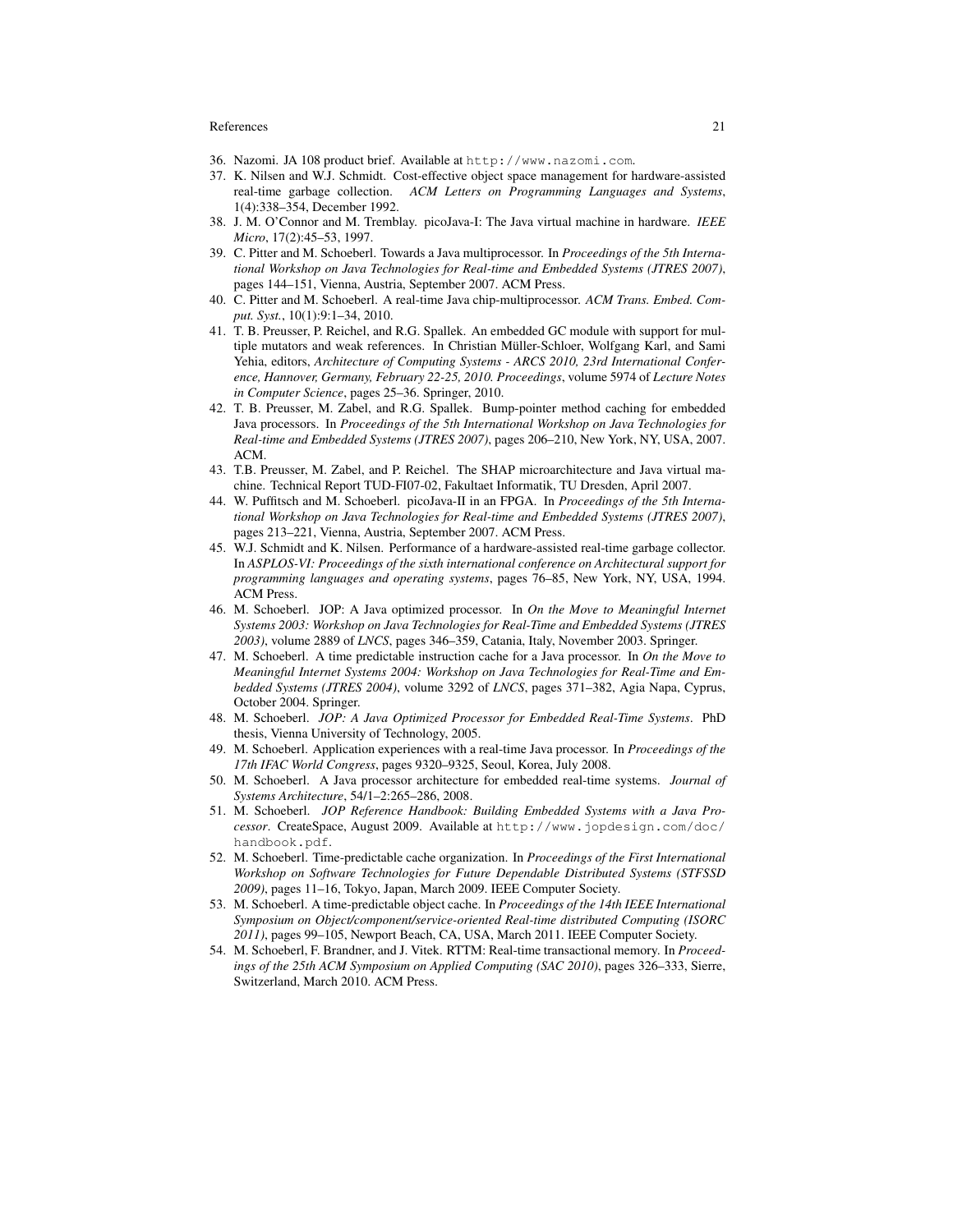#### References 21

- 36. Nazomi. JA 108 product brief. Available at http://www.nazomi.com.
- 37. K. Nilsen and W.J. Schmidt. Cost-effective object space management for hardware-assisted real-time garbage collection. *ACM Letters on Programming Languages and Systems*, 1(4):338–354, December 1992.
- 38. J. M. O'Connor and M. Tremblay. picoJava-I: The Java virtual machine in hardware. *IEEE Micro*, 17(2):45–53, 1997.
- 39. C. Pitter and M. Schoeberl. Towards a Java multiprocessor. In *Proceedings of the 5th International Workshop on Java Technologies for Real-time and Embedded Systems (JTRES 2007)*, pages 144–151, Vienna, Austria, September 2007. ACM Press.
- 40. C. Pitter and M. Schoeberl. A real-time Java chip-multiprocessor. *ACM Trans. Embed. Comput. Syst.*, 10(1):9:1–34, 2010.
- 41. T. B. Preusser, P. Reichel, and R.G. Spallek. An embedded GC module with support for multiple mutators and weak references. In Christian Müller-Schloer, Wolfgang Karl, and Sami Yehia, editors, *Architecture of Computing Systems - ARCS 2010, 23rd International Conference, Hannover, Germany, February 22-25, 2010. Proceedings*, volume 5974 of *Lecture Notes in Computer Science*, pages 25–36. Springer, 2010.
- 42. T. B. Preusser, M. Zabel, and R.G. Spallek. Bump-pointer method caching for embedded Java processors. In *Proceedings of the 5th International Workshop on Java Technologies for Real-time and Embedded Systems (JTRES 2007)*, pages 206–210, New York, NY, USA, 2007. ACM.
- 43. T.B. Preusser, M. Zabel, and P. Reichel. The SHAP microarchitecture and Java virtual machine. Technical Report TUD-FI07-02, Fakultaet Informatik, TU Dresden, April 2007.
- 44. W. Puffitsch and M. Schoeberl. picoJava-II in an FPGA. In *Proceedings of the 5th International Workshop on Java Technologies for Real-time and Embedded Systems (JTRES 2007)*, pages 213–221, Vienna, Austria, September 2007. ACM Press.
- 45. W.J. Schmidt and K. Nilsen. Performance of a hardware-assisted real-time garbage collector. In *ASPLOS-VI: Proceedings of the sixth international conference on Architectural support for programming languages and operating systems*, pages 76–85, New York, NY, USA, 1994. ACM Press.
- 46. M. Schoeberl. JOP: A Java optimized processor. In *On the Move to Meaningful Internet Systems 2003: Workshop on Java Technologies for Real-Time and Embedded Systems (JTRES 2003)*, volume 2889 of *LNCS*, pages 346–359, Catania, Italy, November 2003. Springer.
- 47. M. Schoeberl. A time predictable instruction cache for a Java processor. In *On the Move to Meaningful Internet Systems 2004: Workshop on Java Technologies for Real-Time and Embedded Systems (JTRES 2004)*, volume 3292 of *LNCS*, pages 371–382, Agia Napa, Cyprus, October 2004. Springer.
- 48. M. Schoeberl. *JOP: A Java Optimized Processor for Embedded Real-Time Systems*. PhD thesis, Vienna University of Technology, 2005.
- 49. M. Schoeberl. Application experiences with a real-time Java processor. In *Proceedings of the 17th IFAC World Congress*, pages 9320–9325, Seoul, Korea, July 2008.
- 50. M. Schoeberl. A Java processor architecture for embedded real-time systems. *Journal of Systems Architecture*, 54/1–2:265–286, 2008.
- 51. M. Schoeberl. *JOP Reference Handbook: Building Embedded Systems with a Java Processor*. CreateSpace, August 2009. Available at http://www.jopdesign.com/doc/ handbook.pdf.
- 52. M. Schoeberl. Time-predictable cache organization. In *Proceedings of the First International Workshop on Software Technologies for Future Dependable Distributed Systems (STFSSD 2009)*, pages 11–16, Tokyo, Japan, March 2009. IEEE Computer Society.
- 53. M. Schoeberl. A time-predictable object cache. In *Proceedings of the 14th IEEE International Symposium on Object/component/service-oriented Real-time distributed Computing (ISORC 2011)*, pages 99–105, Newport Beach, CA, USA, March 2011. IEEE Computer Society.
- 54. M. Schoeberl, F. Brandner, and J. Vitek. RTTM: Real-time transactional memory. In *Proceedings of the 25th ACM Symposium on Applied Computing (SAC 2010)*, pages 326–333, Sierre, Switzerland, March 2010. ACM Press.